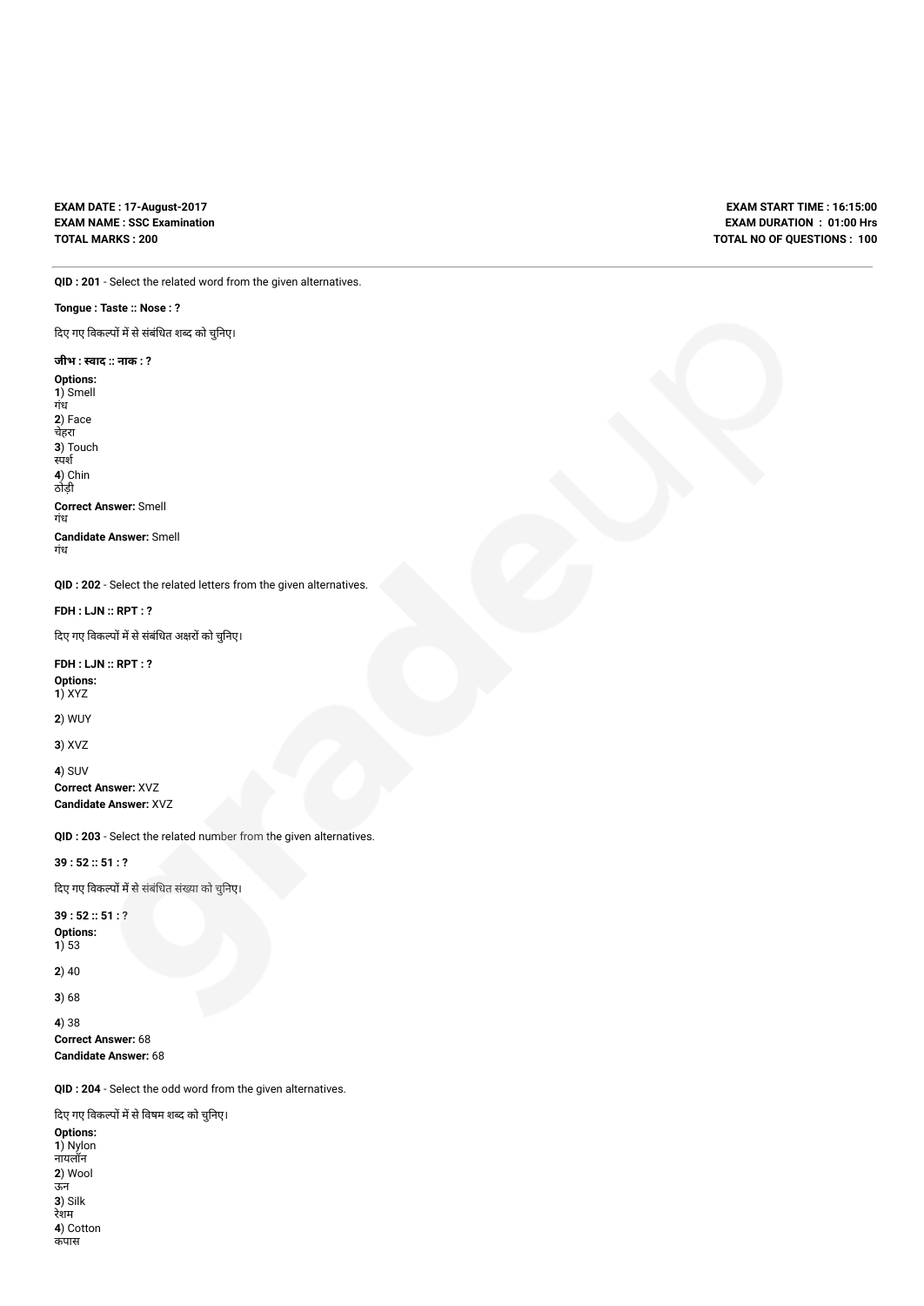## **EXAM DATE : 17-August-2017 EXAM NAME : SSC Examination TOTAL MARKS : 200**

**EXAM START TIME : 16:15:00 EXAM DURATION : 01:00 Hrs TOTAL NO OF QUESTIONS : 100**

**QID : 201** - Select the related word from the given alternatives.

## **Tongue : Taste :: Nose : ?**

दिए गए विकल्पों में से संबंधित शब्द को चुनिए।

## **जीभ : वाद :: नाक : ?**

**Options: 1**) Smell गंध **2**) Face चेहरा **3**) Touch स्पर्श **4**) Chin ठोड़ी **Correct Answer:** Smell गंध **Candidate Answer:** Smell गंध

**QID : 202** - Select the related letters from the given alternatives.

**FDH : LJN :: RPT : ?**

दिए गए विकल्पों में से संबंधित अक्षरों को चुनिए।

**FDH : LJN :: RPT : ? Options: 1**) XYZ

**2**) WUY

**3**) XVZ

**4**) SUV **Correct Answer:** XVZ **Candidate Answer:** XVZ

**QID : 203** - Select the related number from the given alternatives.

**39 : 52 :: 51 : ?**

दिए गए विकल्पों में से संबंधित संख्या को चुनिए।

**39 : 52 :: 51 : ? Options:**

**1**) 53

**2**) 40

**3**) 68

**4**) 38

**Correct Answer:** 68 **Candidate Answer:** 68

**QID : 204** - Select the odd word from the given alternatives.

दिए गए विकल्पों में से विषम शब्द को चुनिए।

**Options: 1**) Nylon नायलॉन **2**) Wool ऊन **3**) Silk रेशम **4**) Cotton कपास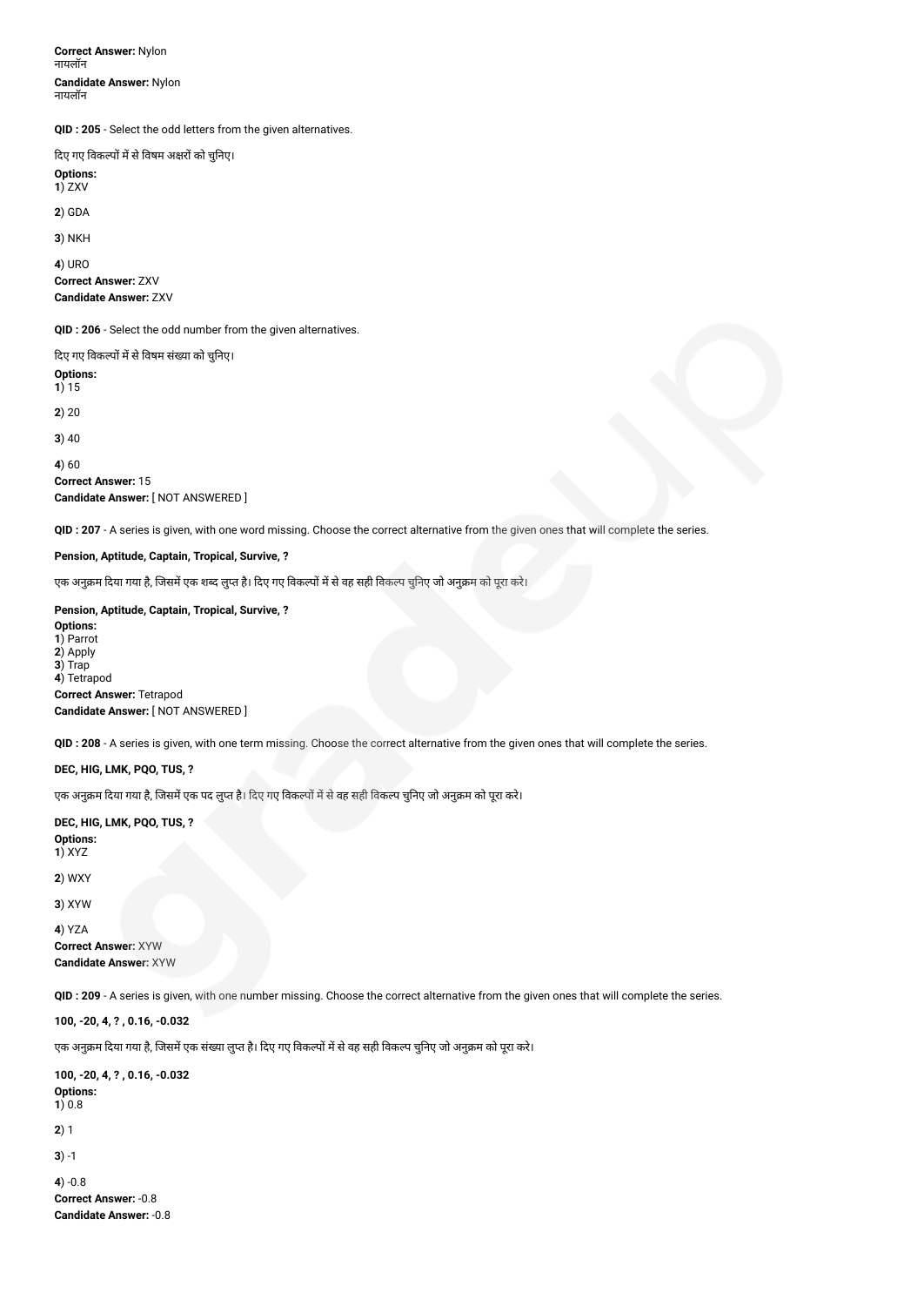**Correct Answer:** Nylon नायलॉन **Candidate Answer:** Nylon नायलॉन

**QID : 205** - Select the odd letters from the given alternatives.

दिए गए विकल्पों में से विषम अक्षरों को चुनिए।

**Options: 1**) ZXV

**2**) GDA

**3**) NKH

**4**) URO

**Correct Answer:** ZXV **Candidate Answer:** ZXV

**QID : 206** - Select the odd number from the given alternatives.

दिए गए विकल्पों में से विषम संख्या को चुनिए। **Options: 1**) 15 **2**) 20 **3**) 40 **4**) 60 **Correct Answer:** 15 **Candidate Answer:** [ NOT ANSWERED ]

**QID : 207** - A series is given, with one word missing. Choose the correct alternative from the given ones that will complete the series.

## **Pension, Aptitude, Captain, Tropical, Survive, ?**

एक अनुक्रम दिया गया है, जिसमें एक शब्द लुप्त है। दिए गए विकल्पों में से वह सही विकल्प चुनिए जो अनुक्रम को पूरा करे।

## **Pension, Aptitude, Captain, Tropical, Survive, ?**

**Options: 1**) Parrot **2**) Apply **3**) Trap **4**) Tetrapod **Correct Answer:** Tetrapod **Candidate Answer:** [ NOT ANSWERED ]

**QID : 208** - A series is given, with one term missing. Choose the correct alternative from the given ones that will complete the series.

#### **DEC, HIG, LMK, PQO, TUS, ?**

एक अनुक्रम दिया गया है, जिसमें एक पद लुप्त है। दिए गए विकल्पों में से वह सही विकल्प चुनिए जो अनुक्रम को पूरा करे।

**DEC, HIG, LMK, PQO, TUS, ? Options: 1**) XYZ

**2**) WXY

**3**) XYW

**4**) YZA **Correct Answer:** XYW **Candidate Answer:** XYW

**QID : 209** - A series is given, with one number missing. Choose the correct alternative from the given ones that will complete the series.

**100, -20, 4, ? , 0.16, -0.032**

एक अनुक्रम दिया गया है, जिसमें एक संख्या लुप्त है। दिए गए विकल्पों में से वह सही विकल्प चुनिए जो अनुक्रम को पूरा करे।

**100, -20, 4, ? , 0.16, -0.032 Options: 1**) 0.8 **2**) 1 **3**) -1 **4**) -0.8 **Correct Answer:** -0.8 **Candidate Answer:** -0.8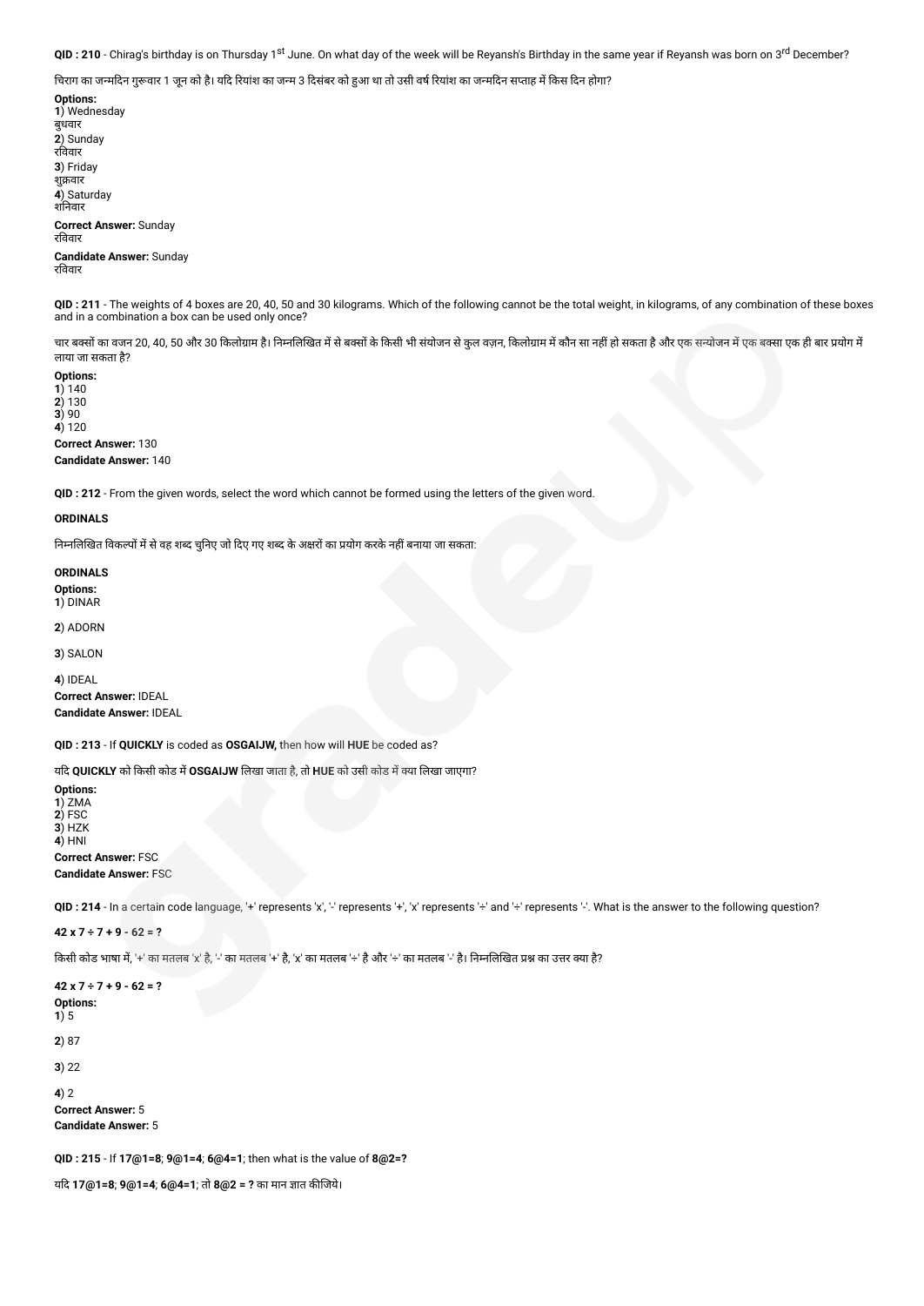**QID : 210** - Chirag's birthday is on Thursday 1<sup>st</sup> June. On what day of the week will be Reyansh's Birthday in the same year if Reyansh was born on 3<sup>rd</sup> December?

चिराग का जन्मदिन गुरूवार 1 जून को है। यदि रियांश का जन्म 3 दिसंबर को हुआ था तो उसी वर्ष रियांश का जन्मदिन सप्ताह में किस दिन होगा?

**Options: 1**) Wednesday बुधवार **2**) Sunday रववार **3**) Friday शक्रवार **4**) Saturday शनवार **Correct Answer:** Sunday रववार

**Candidate Answer:** Sunday रववार

**QID : 211** - The weights of 4 boxes are 20, 40, 50 and 30 kilograms. Which of the following cannot be the total weight, in kilograms, of any combination of these boxes and in a combination a box can be used only once?

चार बक्सों का वजन 20, 40, 50 और 30 किलोग्राम है। निम्नलिखित में से बक्सों के किसी भी संयोजन में काला है और जिस कालो है और एक सन्योजन में एक बक्सा एक ही बार प्रयोग में लाया जा सकता है?

**Options: 1**) 140 **2**) 130 **3**) 90 **4**) 120 **Correct Answer:** 130 **Candidate Answer:** 140

**QID : 212** - From the given words, select the word which cannot be formed using the letters of the given word.

#### **ORDINALS**

निम्नलिखित विकल्पों में से वह शब्द चुनिए जो दिए गए शब्द के अक्षरों का प्रयोग करके नहीं बनाया जा सकता:

**ORDINALS Options:**

**1**) DINAR

**2**) ADORN

**3**) SALON

**4**) IDEAL **Correct Answer:** IDEAL **Candidate Answer:** IDEAL

**QID : 213** - If **QUICKLY** is coded as **OSGAIJW,** then how will **HUE** be coded as?

यद **QUICKLY** को कसी कोड म**OSGAIJW** लखा जाता है, तो **HUE** को उसी कोड मया लखा जाएगा?

**Options: 1**) ZMA **2**) FSC **3**) HZK **4**) HNI

**Correct Answer:** FSC **Candidate Answer:** FSC

**QID** : 214 - In a certain code language, '+' represents 'x', '-' represents '+', 'x' represents '+' and '÷' represents '-'. What is the answer to the following question?

**42 x 7 ÷ 7 + 9 - 62 = ?**

किसी कोड भाषा में, '+' का मतलब 'x' है, '-' का मतलब '+' है, 'x' का मतलब '÷' है और '÷' का मतलब '-' है। निम्नलिखित प्रश्न का उत्तर क्या है?

**42 x 7 ÷ 7 + 9 - 62 = ? Options: 1**) 5 **2**) 87 **3**) 22 **4**) 2 **Correct Answer:** 5 **Candidate Answer:** 5

**QID : 215** - If **17@1=8**; **9@1=4**; **6@4=1**; then what is the value of **8@2=?**

यद **17@1=8**; **9@1=4**; **6@4=1**; तो **8@2 = ?** का मान ात कजये।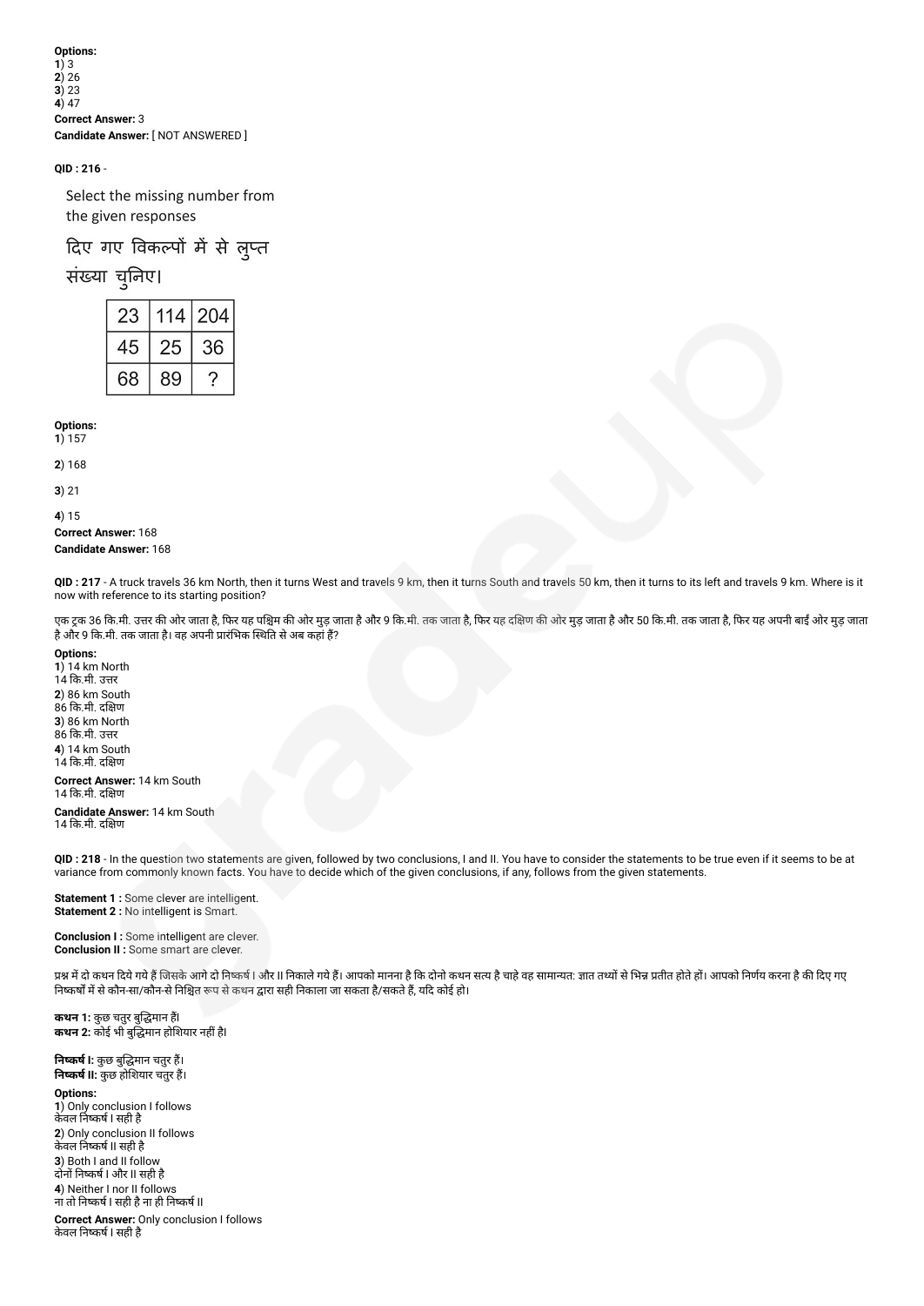## **QID : 216** -

Select the missing number from the given responses

# दिए गए विकल्पों में से लुप्त

# संख्या चुनिए।

| 23 | 14 | 204 |  |  |
|----|----|-----|--|--|
| 45 |    | 36  |  |  |
| 68 | 89 |     |  |  |

**Options:**

**1**) 157

**2**) 168

**3**) 21

**4**) 15

**Correct Answer:** 168 **Candidate Answer:** 168

**QID : 217** - A truck travels 36 km North, then it turns West and travels 9 km, then it turns South and travels 50 km, then it turns to its left and travels 9 km. Where is it now with reference to its starting position?

एक ट्रक 36 कि.मी. उत्तर की ओर जाता है, फिर यह पश्चिम की ओर मुड़ जाता है, फर यह तथि क और मुझ जाता है, और मुझ जाता है, कर जाता है, फिर यह अपनी बाईं ओर मुड़ जाता है और 9 कि.मी. तक जाता है। वह अपनी प्रारंभिक स्थिति से अब कहां हैं?

**Options:**

) 14 km North 14 क.मी. उर ) 86 km South 86 क.मी. दण ) 86 km North 86 क.मी. उर ) 14 km South कि.मी. दक्षिण

**Correct Answer:** 14 km South 14 कि.मी. दक्षिण

**Candidate Answer:** 14 km South 14 कि.मी. दक्षिण

**QID : 218** - In the question two statements are given, followed by two conclusions, I and II. You have to consider the statements to be true even if it seems to be at variance from commonly known facts. You have to decide which of the given conclusions, if any, follows from the given statements.

**Statement 1 :** Some clever are intelligent. **Statement 2 : No intelligent is Smart.** 

**Conclusion I :** Some intelligent are clever. **Conclusion II :** Some smart are clever.

प्रश्न में दो कथन दिये गये हैं जिसके आगे दो निष्कर्ष । और II निकाले गय हैं। आपको मानना है कि दोन सामायत: ज्ञात तथ्यों से भिन्न प्रतीत होते हों। आपको निर्णय करना है की दिए गए निष्कर्षों में से कौन-सा/कौन-से निश्चित रूप से कथन द्वारा सही निकाला जा सकता है/सकते हैं, यदि कोई हो।

**कथन 1:** कुछ चतुर बुद्धिमान हैं। **कथन 2:** कोई भी बुद्धिमान होशियार नहीं हैl

**नकष I:** कुछ बुमान चतुर ह। **नकष II:** कुछ होशयार चतुर ह।

**Options:**

**1**) Only conclusion I follows केवल नकष I सही है **2**) Only conclusion II follows केवल निष्कर्ष II सही है **3**) Both I and II follow दोनों निष्कर्ष I और II सही है **4**) Neither I nor II follows ना तो नकष I सही हैना ही नकष II

**Correct Answer:** Only conclusion I follows केवल नकष I सही है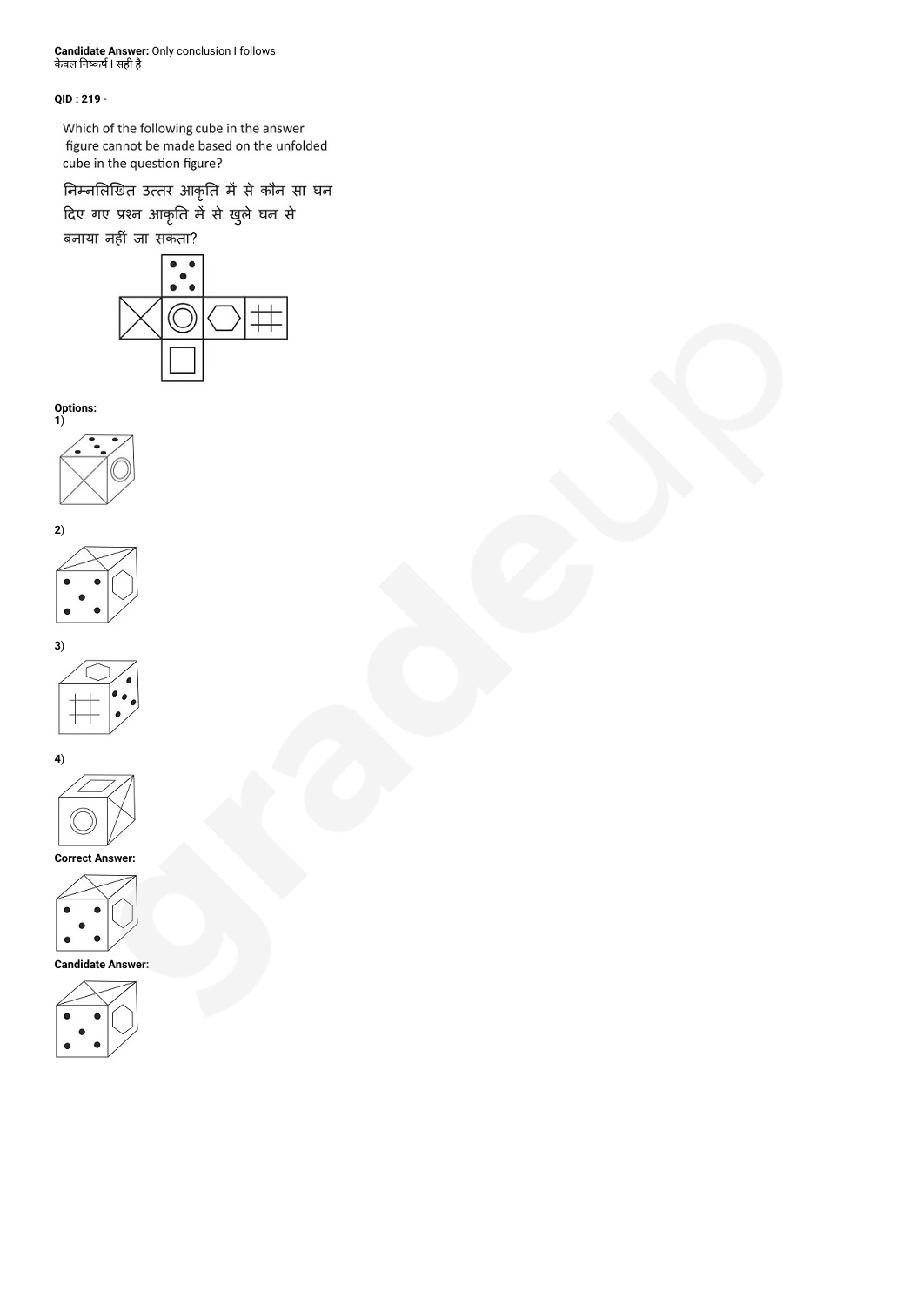**Candidate Answer:** Only conclusion I follows केवल निष्कर्ष I सही है

# **QID : 219** -

Which of the following cube in the answer figure cannot be made based on the unfolded cube in the question figure?

निम्नलिखित उत्तर आकृति में से कौन सा घन

दिए गए प्रश्न आकृति में से खुले घन से





**Options:**













**Correct Answer:**



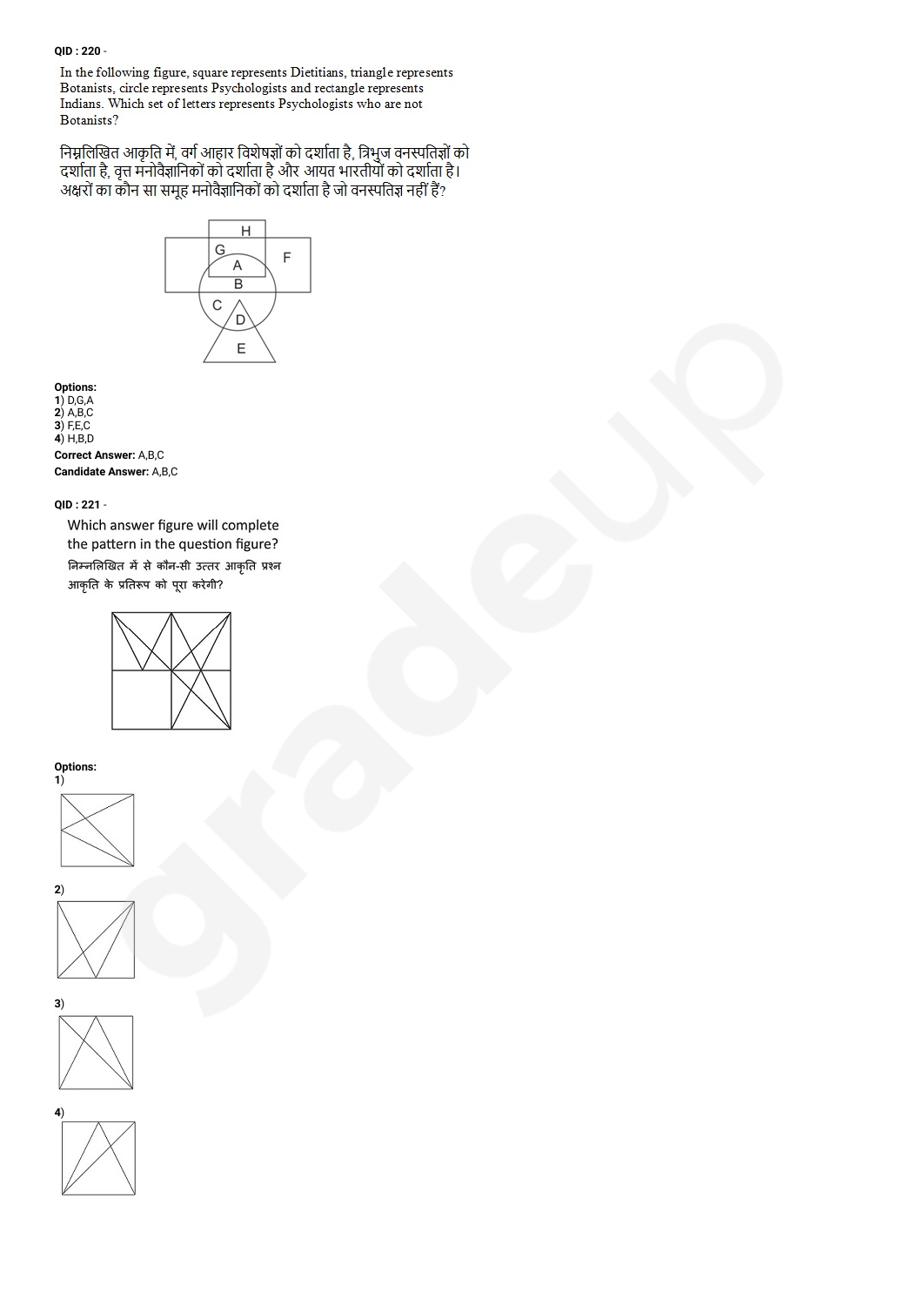## **QID : 220** -

In the following figure, square represents Dietitians, triangle represents Botanists, circle represents Psychologists and rectangle represents Indians. Which set of letters represents Psychologists who are not Botanists?

निम्नलिखित आकृति में, वर्ग आहार विशेषज्ञों को दर्शाता है, त्रिभुज वनस्पतिज्ञों को<br>दर्शाता है, वृत्त मनोवैज्ञानिकों को दर्शाता है और आयत भारतीयों को दर्शाता है। अक्षरों का कौन सा समूह मनोवैज्ञानिकों को दर्शाता है जो वनस्पतिज्ञ नहीं हैं?



**Options: 1**) D,G,A **2**) A,B,C **3**) F,E,C **4**) H,B,D **Correct Answer:** A,B,C **Candidate Answer:** A,B,C

## **QID : 221** -

Which answer figure will complete the pattern in the question figure? निम्नलिखित में से कौन-सी उत्तर आकृति प्रश्न आकृति के प्रतिरूप को पूरा करेगी?



**Options:**







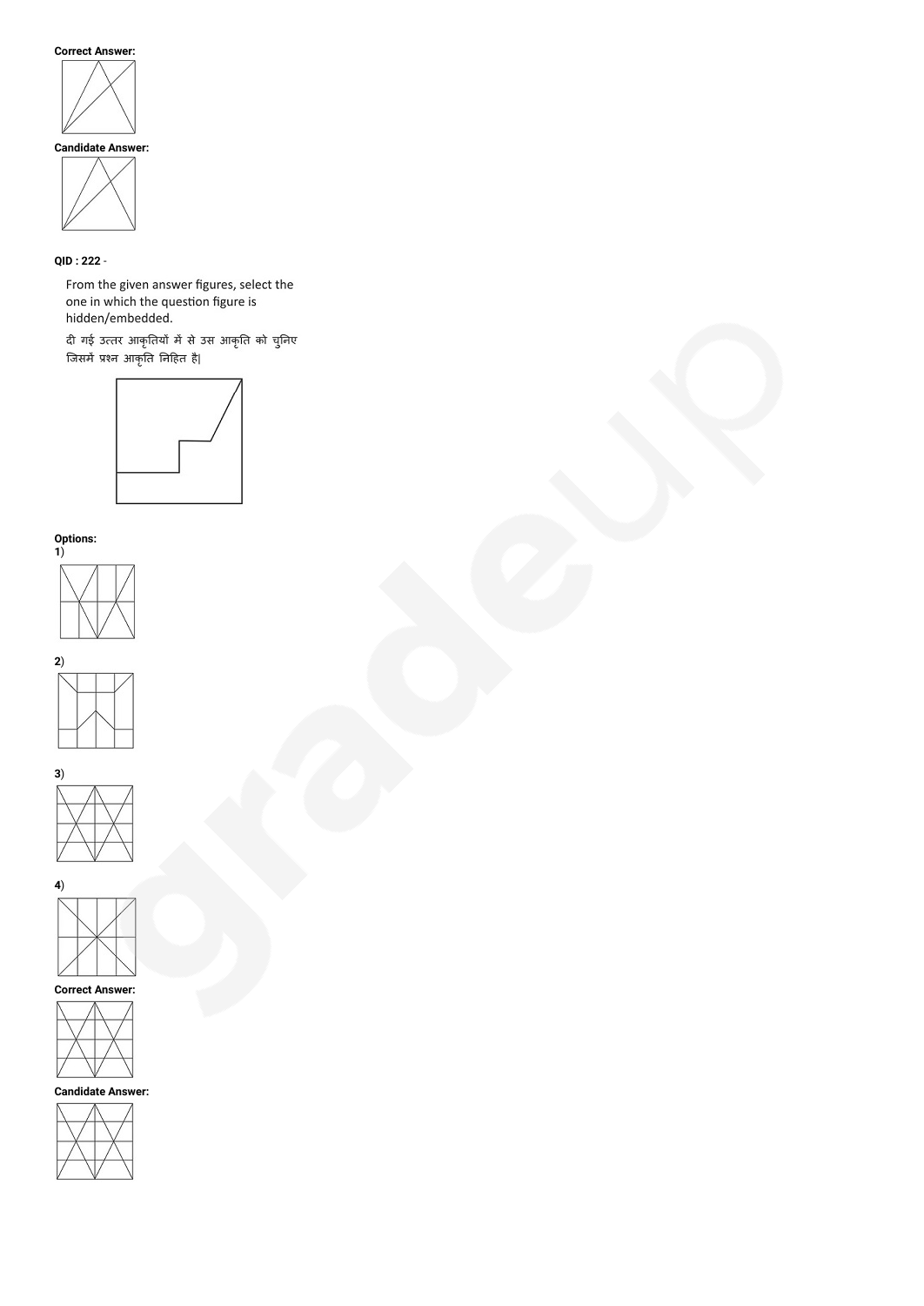## **Correct Answer:**



# **QID : 222** -

From the given answer figures, select the one in which the question figure is<br>hidden/embedded.

दी गई उत्तर आकृतियों में से उस आकृति को चुनिए<br>जिसमें प्रश्न आकृति निहित है|



#### **Options:**













**Candidate Answer:**

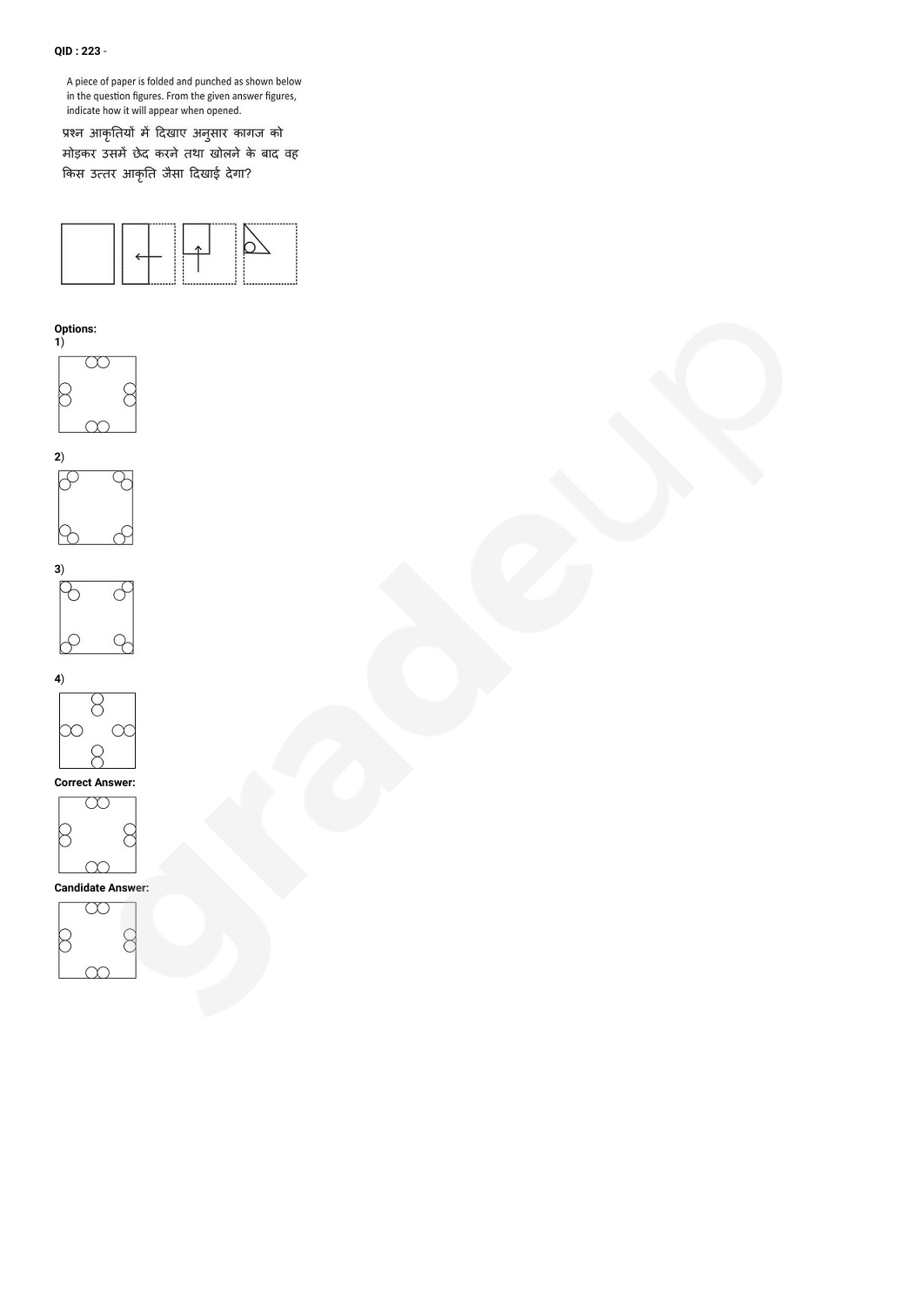## **QID : 223** -

A piece of paper is folded and punched as shown below in the question figures. From the given answer figures, indicate how it will appear when opened.

प्रश्न आकृतियों में दिखाए अनुसार कागज को मोड़कर उसमें छेद करने तथा खोलने के बाद वह किस उत्तर आकृति जैसा दिखाई देगा?



### **Options:**











 $\infty$ **Candidate Answer:**

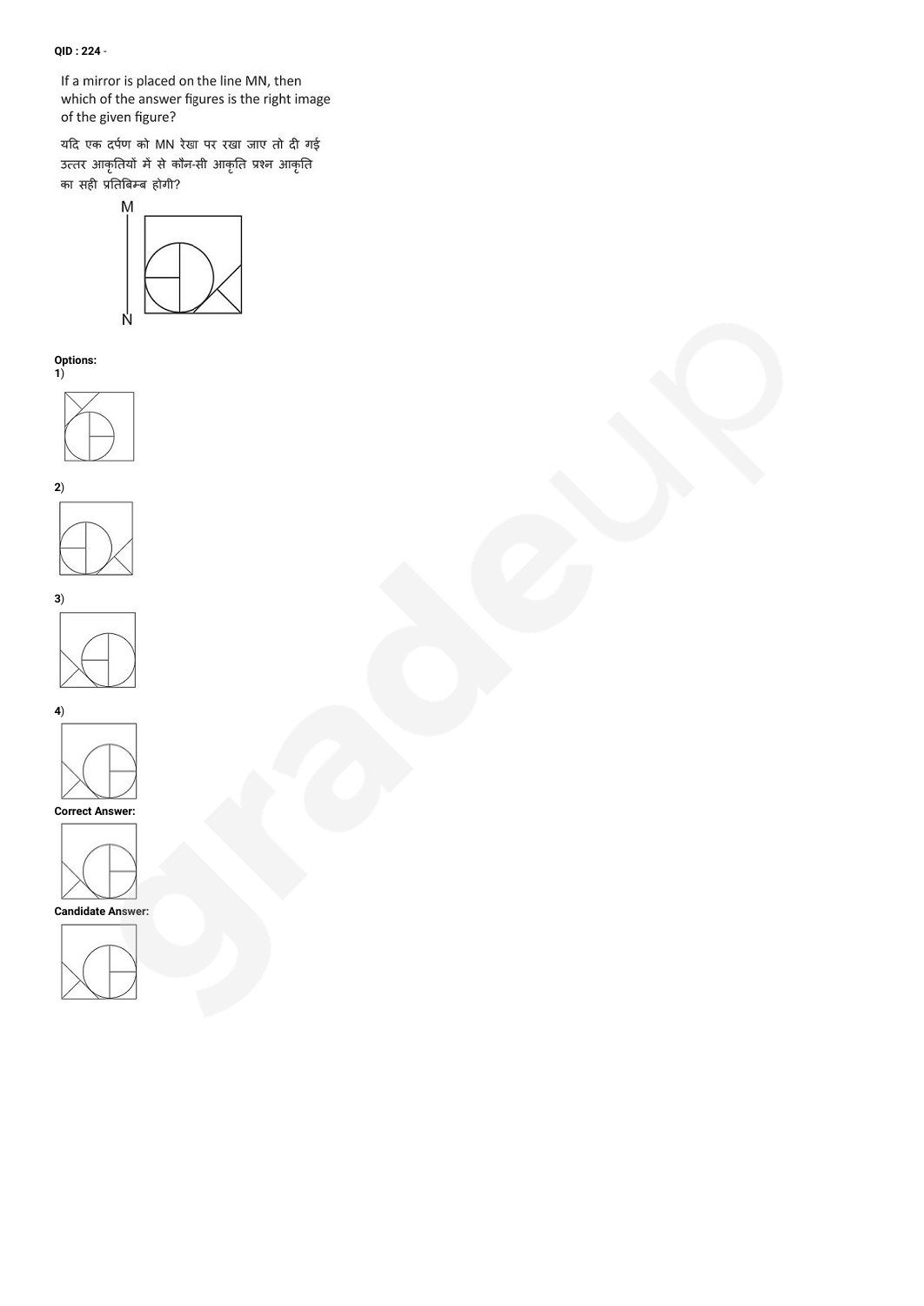# **QID : 224** -

If a mirror is placed on the line MN, then which of the answer figures is the right image of the given figure?

यदि एक दर्पण को MN रेखा पर रखा जाए तो दी गई उत्तर आकृतियों में से कौन-सी आकृति प्रश्न आकृति का सही प्रतिबिम्ब होगी?



**Options:**









**4**)





**Candidate Answer:**

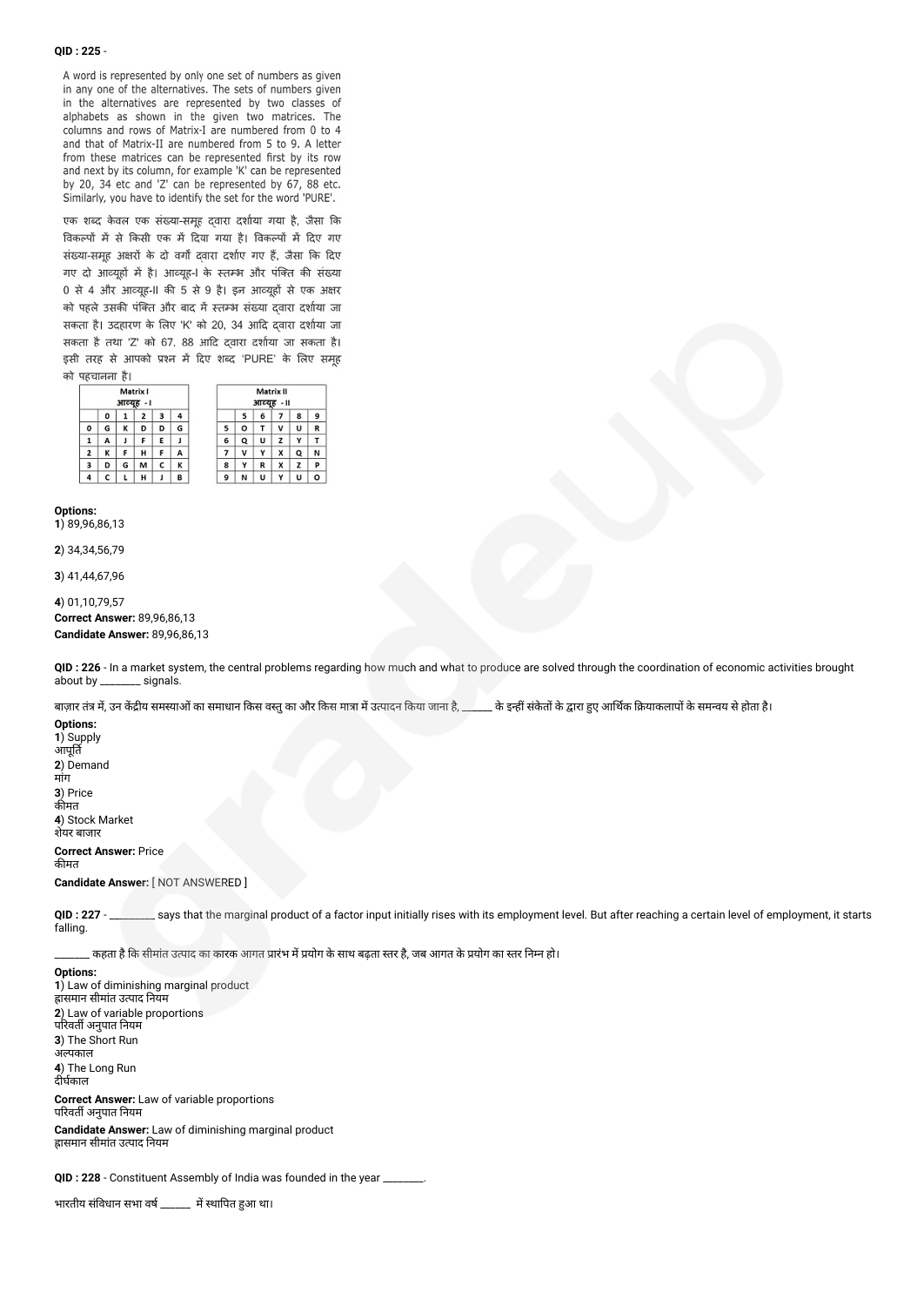#### **QID : 225** -

A word is represented by only one set of numbers as given in any one of the alternatives. The sets of numbers given in the alternatives are represented by two classes of alphabets as shown in the given two matrices. The columns and rows of Matrix-I are numbered from 0 to 4 and that of Matrix-II are numbered from 5 to 9. A letter from these matrices can be represented first by its row and next by its column, for example 'K' can be represented by 20, 34 etc and 'Z' can be represented by 67, 88 etc. Similarly, you have to identify the set for the word 'PURE'.

एक शब्द केवल एक संख्या-समूह दवारा दर्शाया गया है, जैसा कि विकल्पों में से किसी एक में दिया गया है। विकल्पों में दिए गए संख्या-समूह अक्षरों के दो वर्गों द्वारा दर्शाए गए हैं, जैसा कि दिए गए दो आव्यूहों में है। आव्यूह-1 के स्तम्भ और पंक्ति की संख्या 0 से 4 और आव्यूह-II की 5 से 9 है। इन आव्यूहों से एक अक्षर को पहले उसकी पंक्ति और बाद में स्तम्भ संख्या दवारा दर्शाया जा सकता है। उदहारण के लिए 'K' को 20, 34 आदि दवारा दर्शाया जा सकता है तथा 'Z' को 67, 88 आदि दवारा दर्शाया जा सकता है। इसी तरह से आपको प्रश्न में दिए शब्द 'PURE' के लिए समह को पहचानना है।

| Matrix I<br>आव्यह<br>$-1$ |   |   |   |   |   | Matrix II<br>आव्यह -॥ |   |   |   |   |  |
|---------------------------|---|---|---|---|---|-----------------------|---|---|---|---|--|
|                           | 0 | ı | 2 | з | 4 |                       | 5 | 6 | 7 | 8 |  |
| o                         | G | κ | D | D | G | 5                     | ۰ | T | v | U |  |
|                           | А | J | F | Е | J | 6                     | Q | U | z | Υ |  |
| 2                         | κ | F | н | F | А | 7                     | ٧ | Y | x | Q |  |
| 3                         | D | G | M | с | κ | 8                     | Y | R | X | z |  |
|                           |   | L | н |   | ₿ | 9                     | Ν | U | Υ | U |  |

#### **Options:**

**1**) 89,96,86,13

**2**) 34,34,56,79

**3**) 41,44,67,96

**4**) 01,10,79,57

**Correct Answer:** 89,96,86,13 **Candidate Answer:** 89,96,86,13

**QID : 226** - In a market system, the central problems regarding how much and what to produce are solved through the coordination of economic activities brought about by \_\_\_\_\_\_\_\_ signals.

बाज़ार तंत्र में, उन केंद्रीय समस्याओं का समाधान किस वस्तु का और किस मात्रा में उत्पादन किया जाना है, \_\_\_\_\_\_\_ के इन्हीं संकेतों के द्वारा हुए आर्थिक क्रियाकलापों के समन्वय से होता है।

**Options: 1**) Supply आपूत **2**) Demand मांग **3**) Price कीमत **4**) Stock Market शेयर बाजार

**Correct Answer:** Price कीमत

**Candidate Answer:** [ NOT ANSWERED ]

QID : 227 - says that the marginal product of a factor input initially rises with its employment level. But after reaching a certain level of employment, it starts falling.

<sub>-</sub> कहता है कि सीमांत उत्पाद का कारक आगत प्रारंभ में प्रयोग के साथ बढता स्तर है, जब आगत के प्रयोग का स्तर निम्न हो।

**Options: 1**) Law of diminishing marginal product हासमान सीमात उत्पाद नियम **2**) Law of variable proportions परिवर्ती अनुपात नियम **3**) The Short Run अपकाल **4**) The Long Run दीर्घकाल **Correct Answer:** Law of variable proportions परिवर्ती अनुपात नियम

**Candidate Answer:** Law of diminishing marginal product ह्रासमान सीमांत उत्पाद नियम

**QID : 228** - Constituent Assembly of India was founded in the year \_\_\_\_\_\_\_\_.

भारतीय संविधान सभा वर्ष \_\_\_\_\_\_ में स्थापित हुआ था।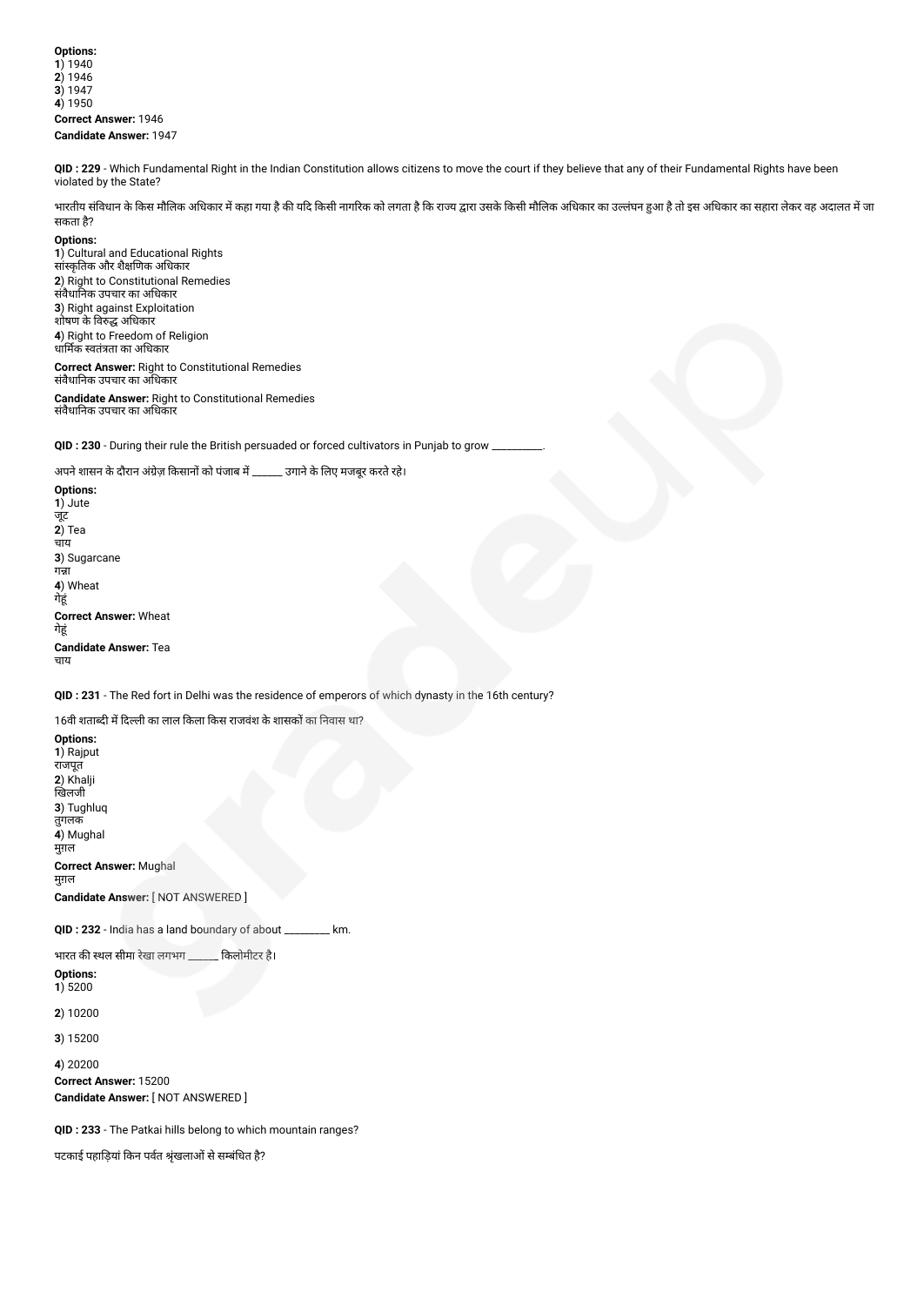**Options: 1**) 1940 **2**) 1946 **3**) 1947 **4**) 1950 **Correct Answer:** 1946 **Candidate Answer:** 1947

**QID : 229** - Which Fundamental Right in the Indian Constitution allows citizens to move the court if they believe that any of their Fundamental Rights have been violated by the State?

भारतीय संविधान के किस मौलिक अधिकार में कहा गया है की याद किसी नाज को लगत को किसी मौलिक अधिकार का उल्लंघन हुआ है तो इस अधिकार का सहारा लेकर वह अदालत में जा सकता है?

**Options:**

**1**) Cultural and Educational Rights सांकृतक और शैणक अधकार **2**) Right to Constitutional Remedies संवैधानक उपचार का अधकार **3**) Right against Exploitation शोषण के विरुद्ध अधिकार **4**) Right to Freedom of Religion ्र<br>धार्मिक स्वतंत्रता का अधिकार

**Correct Answer:** Right to Constitutional Remedies संवैधानक उपचार का अधकार

**Candidate Answer:** Right to Constitutional Remedies संवैधानक उपचार का अधकार

**QID : 230** - During their rule the British persuaded or forced cultivators in Punjab to grow

अपने शासन के दौरान अंग्रेज़ किसानों को पंजाब में \_\_\_\_\_\_ उगाने के लिए मजबूर करते रहे।

**Options: 1**) Jute जूट **2**) Tea चाय **3**) Sugarcane गन्ना **4**) Wheat गेहूं **Correct Answer:** Wheat गेहं **Candidate Answer:** Tea चाय

**QID : 231** - The Red fort in Delhi was the residence of emperors of which dynasty in the 16th century?

16वी शताब्दी में दिल्ली का लाल किला किस राजवंश के शासकों का निवास था?

**Options: 1**) Rajput राजपूत **2**) Khalji खिलजी **3**) Tughluq तुगलक **4**) Mughal मुग़ल **Correct Answer:** Mughal मुग़ल **Candidate Answer:** [ NOT ANSWERED ]

**QID : 232** - India has a land boundary of about \_\_\_\_\_\_\_\_\_ km.

भारत की स्थल सीमा रेखा लगभग \_\_\_\_\_\_ किलोमीटर है।

**Options: 1**) 5200

**2**) 10200

**3**) 15200

**4**) 20200 **Correct Answer:** 15200 **Candidate Answer:** [ NOT ANSWERED ]

**QID : 233** - The Patkai hills belong to which mountain ranges?

पटकाई पहाड़ियां किन पर्वत श्रृंखलाओं से सम्बंधित है?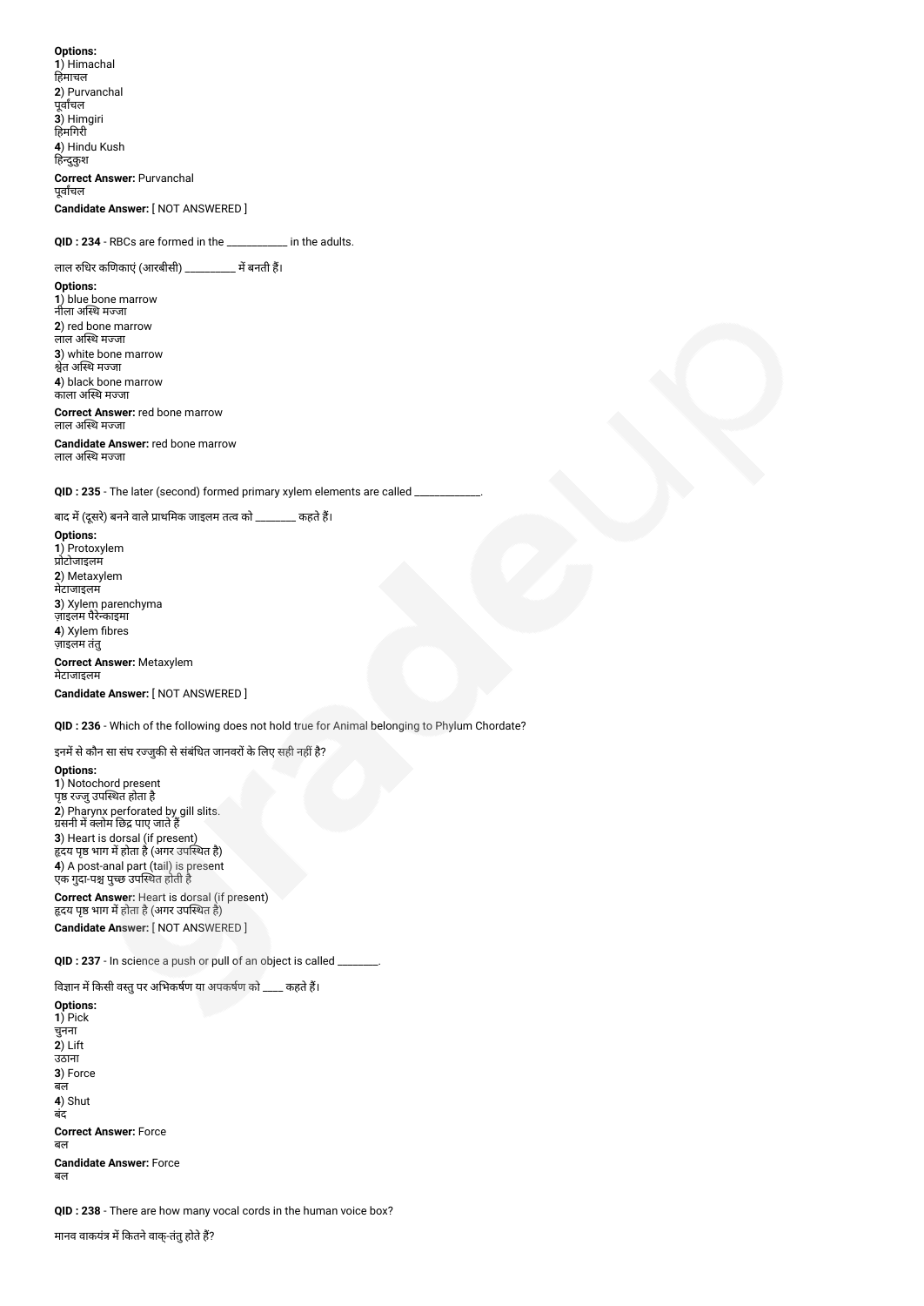**Options: 1**) Himachal हिमाचल **2**) Purvanchal पूवाचल **3**) Himgiri हमगरी **4**) Hindu Kush हिन्दुकुश **Correct Answer:** Purvanchal पूवाचल **Candidate Answer:** [ NOT ANSWERED ]

**QID : 234** - RBCs are formed in the \_\_\_\_\_\_\_\_\_\_\_\_ in the adults.

लाल रुधिर कणिकाएं (आरबीसी) \_\_\_\_\_\_\_\_\_\_ में बनती हैं।

**Options: 1**) blue bone marrow नीला अस्थि मज्जा **2**) red bone marrow लाल अस्थि मज्जा **3**) white bone marrow श्वेत अस्थि मज्जा **4**) black bone marrow काला अस्थि मज्जा

**Correct Answer:** red bone marrow लाल अस्थि मज्जा

**Candidate Answer:** red bone marrow लाल अस्थि मज्जा

QID : 235 - The later (second) formed primary xylem elements are called

बाद में (दूसरे) बनने वाले प्राथमिक जाइलम तत्व को \_\_\_\_\_\_\_\_ कहते हैं।

**Options: 1**) Protoxylem ोटोजाइलम **2**) Metaxylem मेटाजाइलम **3**) Xylem parenchyma ज़ाइलम पैरेकाइमा **4**) Xylem fibres ज़ाइलम तंतु **Correct Answer:** Metaxylem मेटाजाइलम

## **Candidate Answer:** [ NOT ANSWERED ]

**QID : 236** - Which of the following does not hold true for Animal belonging to Phylum Chordate?

इनमें से कौन सा संघ रज्जुकी से संबंधित जानवरों के लिए सही नहीं है?

**Options: 1**) Notochord present पृष्ठ रज्जु उपस्थित होता है **2**) Pharynx perforated by gill slits. ग्रसनी में क्लोम छिंद्र पाए जाते हैं **3**) Heart is dorsal (if present) हृदय पृष्ठ भाग में होता है (अगर उपस्थित है) **4**) A post-anal part (tail) is present एक गुदा-पश्च पुच्छ उपस्थित होती है -**Correct Answer:** Heart is dorsal (if present) हृदय पृष्ठ भाग में होता है (अगर उपस्थित है)

**Candidate Answer:** [ NOT ANSWERED ]

**QID : 237** - In science a push or pull of an object is called \_\_\_\_\_\_\_\_.

विज्ञान में किसी वस्तु पर अभिकर्षण या अपकर्षण को \_\_\_\_ कहते हैं।

**Options: 1**) Pick चुनना **2**) Lift उठाना **3**) Force बल **4**) Shut बंद **Correct Answer:** Force बल **Candidate Answer:** Force बल

**QID : 238** - There are how many vocal cords in the human voice box?

मानव वाकयंत्र में कितने वाक्-तंतु होते हैं?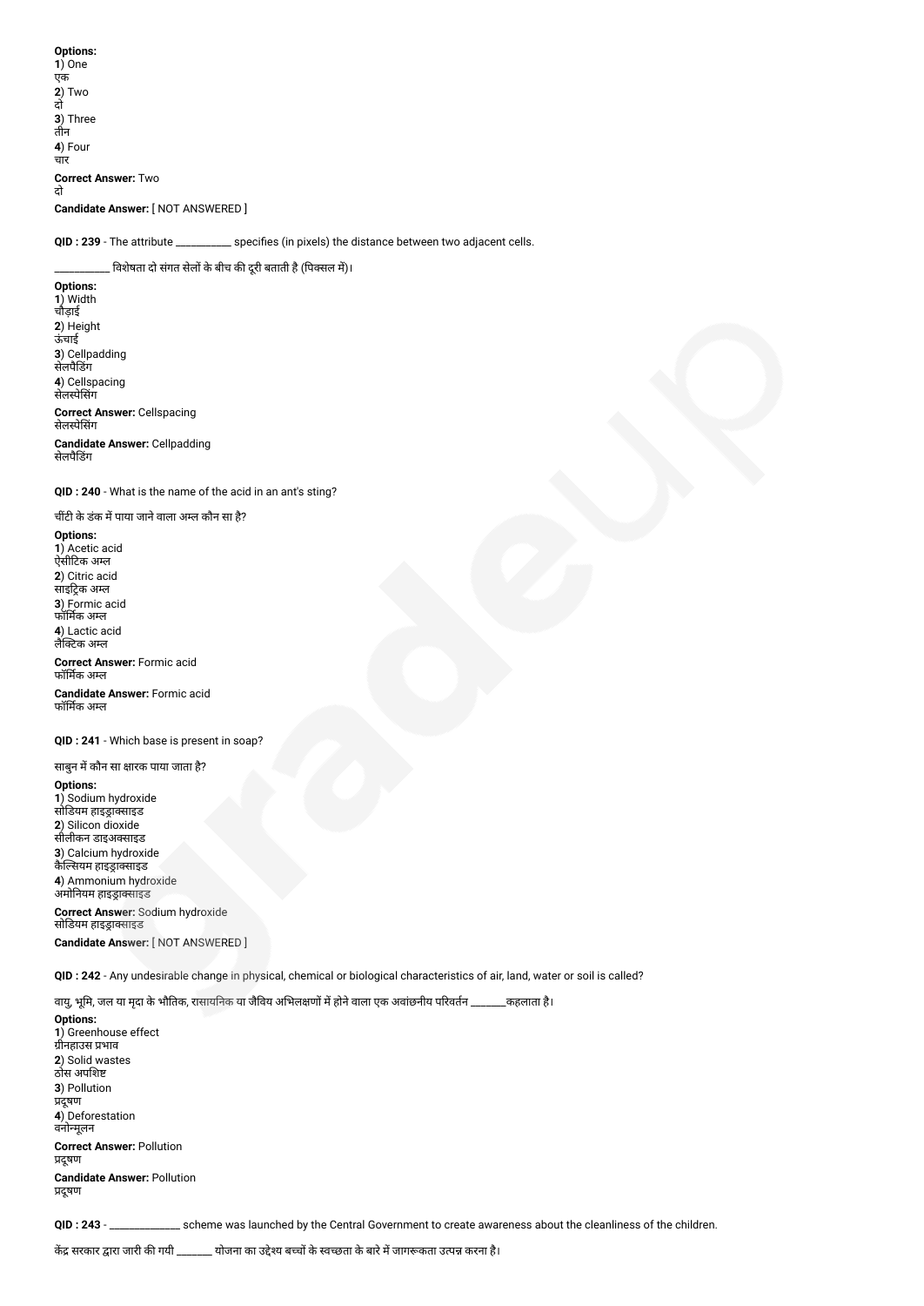**Options: 1**) One एक **2**) Two दो **3**) Three तीन **4**) Four चार **Correct Answer:** Two दो **Candidate Answer:** [ NOT ANSWERED ]

**QID : 239** - The attribute \_\_\_\_\_\_\_\_\_\_\_ specifies (in pixels) the distance between two adjacent cells.

<sub>-</sub> विशेषता दो संगत सेलों के बीच की दूरी बताती है (पिक्सल में)।

**Options: 1**) Width चौड़ाई **2**) Height ऊंचाई **3**) Cellpadding सेलपैडग **4**) Cellspacing सेलपेसग **Correct Answer:** Cellspacing सेलपेसग

**Candidate Answer:** Cellpadding सेलपैडग

**QID : 240** - What is the name of the acid in an ant's sting?

चींटी के डंक में पाया जाने वाला अम्ल कौन सा है?

**Options: 1**) Acetic acid ऐसीटक अल **2**) Citric acid साइट्रिक अम्ल **3**) Formic acid फॉमक अल **4**) Lactic acid लैटक अल

**Correct Answer:** Formic acid फॉमक अल

**Candidate Answer:** Formic acid फॉमक अल

**QID : 241** - Which base is present in soap?

साबुन में कौन सा क्षारक पाया जाता है? **Options: 1**) Sodium hydroxide सोडयम हाइासाइड **2**) Silicon dioxide सीलीकन डाइअसाइड **3**) Calcium hydroxide कैल्सियम हाइड्राक्साइड **4**) Ammonium hydroxide अमोनियम हाइड्राक्साइड

**Correct Answer:** Sodium hydroxide सोडियम हाइड्राक्साइड

**Candidate Answer:** [ NOT ANSWERED ]

**QID : 242** - Any undesirable change in physical, chemical or biological characteristics of air, land, water or soil is called?

वायु, भूमि, जल या मृदा के भौतिक, रासायनिक या जैविय अभिलक्षणों में होने वाला एक अवांछनीय परिवर्तन \_\_\_\_\_\_\_कहलाता है।

**Options: 1**) Greenhouse effect ...<br>ग्रीनहाउस प्रभाव **2**) Solid wastes ठोस अपश **3**) Pollution प्रदूषण **4**) Deforestation वनोमूलन **Correct Answer:** Pollution प्रदूषण **Candidate Answer:** Pollution प्रदूषण

**QID : 243** - \_\_\_\_\_\_\_\_\_\_\_\_\_\_ scheme was launched by the Central Government to create awareness about the cleanliness of the children.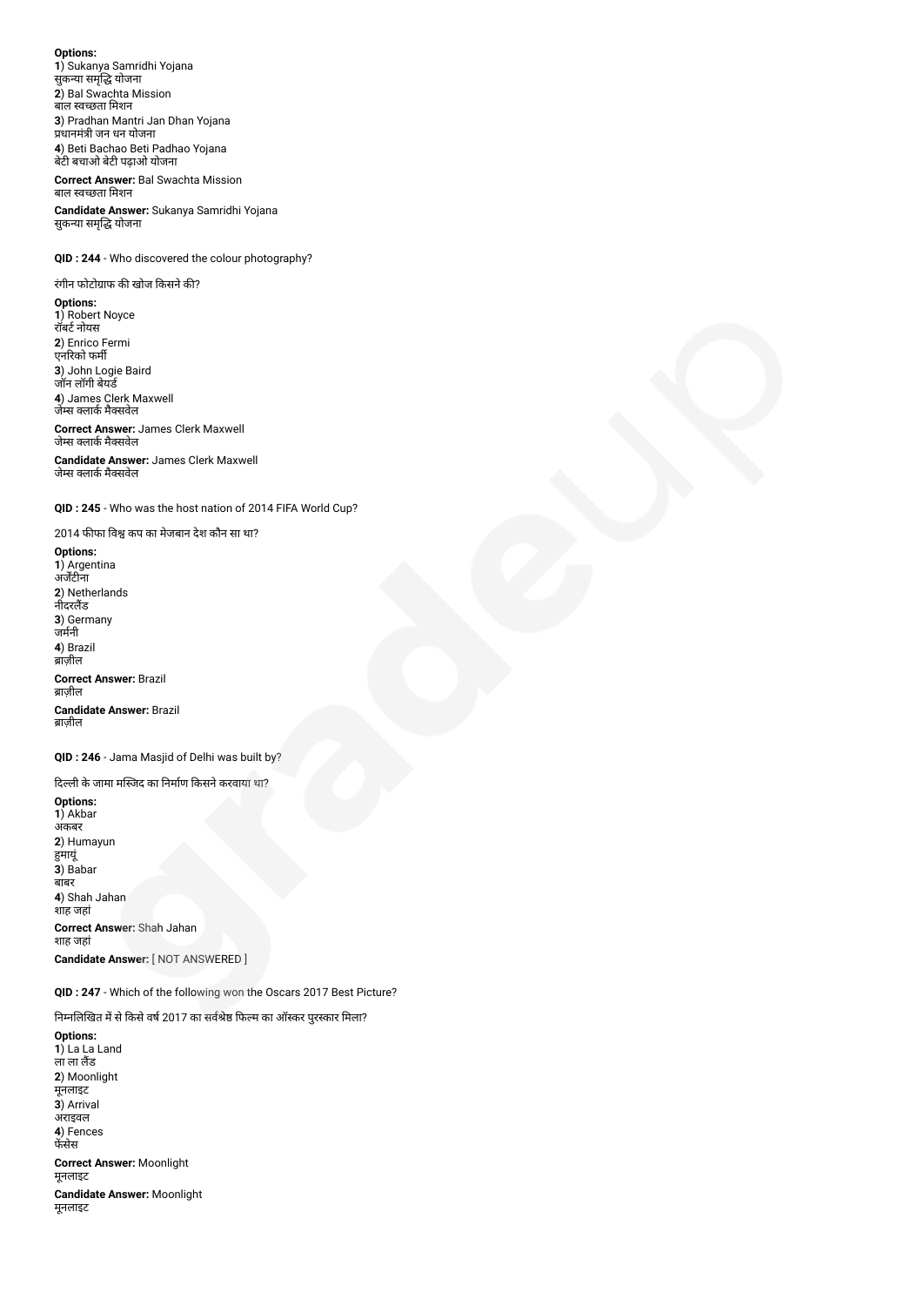**Options: 1**) Sukanya Samridhi Yojana --<sub>)</sub> = =-----,<br>सुकन्या समृद्धि योजना **2**) Bal Swachta Mission बाल वछता मशन **3**) Pradhan Mantri Jan Dhan Yojana प्रधानमंत्री जन धन योजना **4**) Beti Bachao Beti Padhao Yojana बेट बचाओ बेट पढ़ाओ योजना

**Correct Answer:** Bal Swachta Mission बाल वछता मशन

**Candidate Answer:** Sukanya Samridhi Yojana सुकन्या समृद्धि योजना

**QID : 244** - Who discovered the colour photography?

रंगीन फोटोग्राफ की खोज किसने की?

**Options: 1**) Robert Noyce रॉबर्ट नोयस **2**) Enrico Fermi एनरको फम **3**) John Logie Baird जॉन लॉगी बेयड **4**) James Clerk Maxwell

जेम्स क्लाके मेक्सवेल **Correct Answer:** James Clerk Maxwell जेम्स क्लार्क मैक्सवेल

**Candidate Answer:** James Clerk Maxwell जेम्स क्लार्क मैक्सवेल

**QID : 245** - Who was the host nation of 2014 FIFA World Cup?

2014 फीफा विश्व कप का मेजबान देश कौन सा था?

**Options: 1**) Argentina अजटीना **2**) Netherlands नीदरलैंड **3**) Germany जमनी **4**) Brazil ब्राज़ील **Correct Answer:** Brazil ब्राज़ील **Candidate Answer:** Brazil ब्राज़ील

**QID : 246** - Jama Masjid of Delhi was built by?

दिल्ली के जामा मस्जिद का निर्माण किसने करवाया था?

**Options: 1**) Akbar अकबर **2**) Humayun मायूं **3**) Babar बाबर **4**) Shah Jahan शाह जहां **Correct Answer:** Shah Jahan शाह जहां **Candidate Answer:** [ NOT ANSWERED ]

**QID : 247** - Which of the following won the Oscars 2017 Best Picture?

निम्नलिखित में से किसे वर्ष 2017 का सर्वश्रेष्ठ फिल्म का ऑस्कर पुरस्कार मिला?

**Options: 1**) La La Land ला लैंड **2**) Moonlight मूनलाइट **3**) Arrival अराइवल **4**) Fences फेंसेस **Correct Answer:** Moonlight मूनलाइट **Candidate Answer:** Moonlight मूनलाइट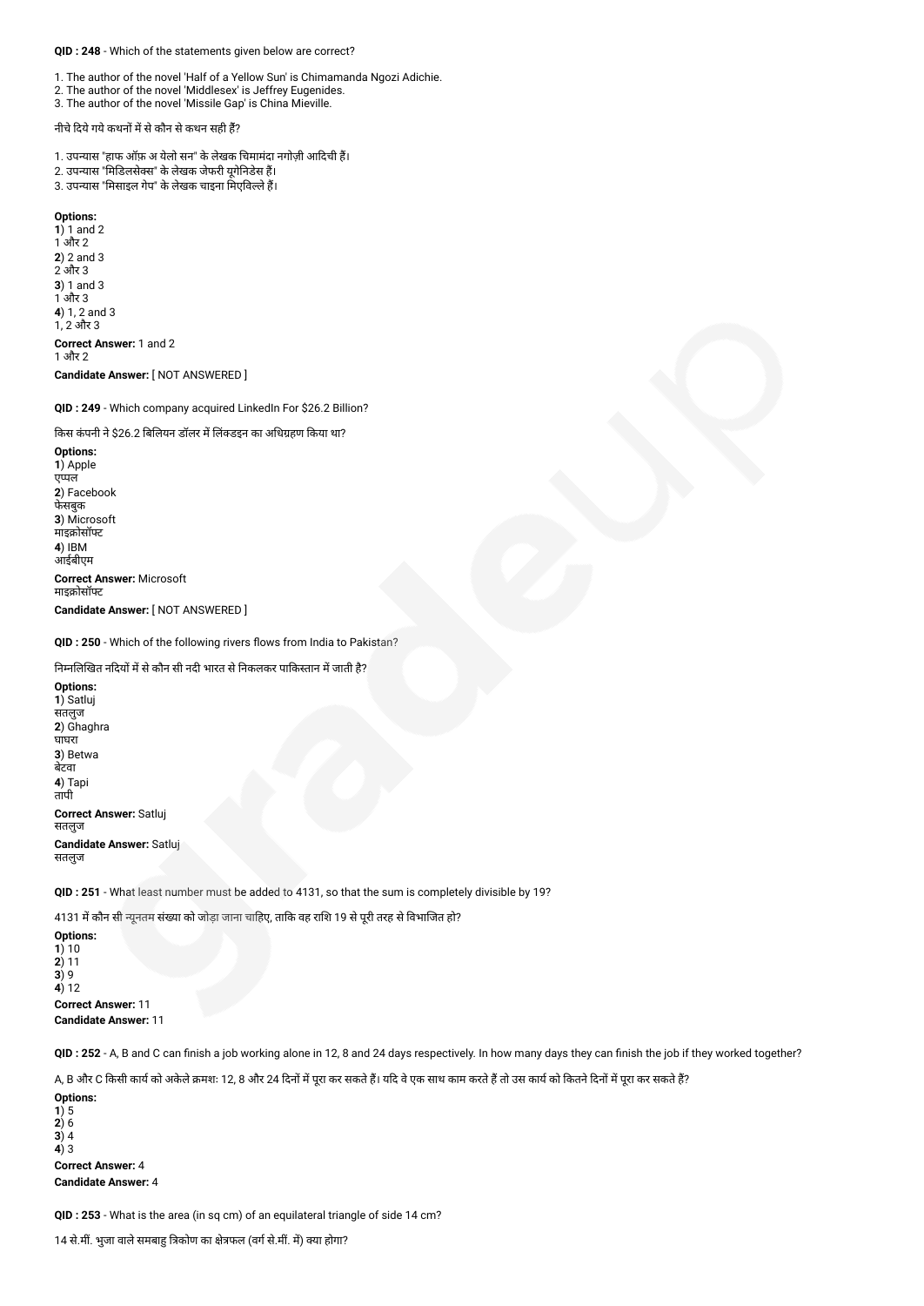#### **QID : 248** - Which of the statements given below are correct?

- 1. The author of the novel 'Half of a Yellow Sun' is Chimamanda Ngozi Adichie.
- 2. The author of the novel 'Middlesex' is Jeffrey Eugenides.
- 3. The author of the novel 'Missile Gap' is China Mieville.

# नीचे दिये गये कथनों में से कौन से कथन सही हैं?

- 1. उपन्यास "हाफ ऑफ़ अ येलो सन" के लेखक चिमामंदा नगोज़ी आदिची हैं।
- 2. उपन्यास "मिडिलसेक्स" के लेखक जेफरी यूगेनिडेस हैं।
- 3. उपन्यास "मिसाइल गेप" के लेखक चाइना मिएविल्ले हैं।

## **Options:**

**1**) 1 and 2  $1$  और  $2$ **2**) 2 and 3 2 और 3 **3**) 1 and 3  $1$  $3$ गैर  $3$ **4**) 1, 2 and 3 1, 2 और 3 **Correct Answer:** 1 and 2 1 और 2

**Candidate Answer:** [ NOT ANSWERED ]

**QID : 249** - Which company acquired LinkedIn For \$26.2 Billion?

#### किस कंपनी ने \$26.2 बिलियन डॉलर में लिंक्डइन का अधिग्रहण किया था?

**Options: 1**) Apple एपल **2**) Facebook फेसबुक **3**) Microsoft **माइक्रोसॉफ्ट 4**) IBM आईबीएम

**Correct Answer:** Microsoft माइक्रोसॉफ्ट

**Candidate Answer:** [ NOT ANSWERED ]

#### **QID : 250** - Which of the following rivers flows from India to Pakistan?

निम्नलिखित नदियों में से कौन सी नदी भारत से निकलकर पाकिस्तान में जाती है?

**Options: 1**) Satluj सतलुज **2**) Ghaghra घाघरा **3**) Betwa बेटवा **4**) Tapi तापी **Correct Answer:** Satluj सतलुज **Candidate Answer:** Satluj सतलुज

**QID : 251** - What least number must be added to 4131, so that the sum is completely divisible by 19?

4131 में कौन सी न्यूनतम संख्या को जोड़ा जाना चाहिए, ताकि वह राशि 19 से पूरी तरह से विभाजित हो?

**Options: 1**) 10 **2**) 11 **3**) 9 **4**) 12 **Correct Answer:** 11 **Candidate Answer:** 11

**QID : 252** - A, B and C can finish a job working alone in 12, 8 and 24 days respectively. In how many days they can finish the job if they worked together?

A, B और C किसी कार्य को अकेले क्रमशः 12, 8 और 24 दिनों में पूरा कर सकते हैं। यदि वे एक साथ काम करते हैं तो उस कार्य को कितने दिनों में पूरा कर सकते हैं?

**Options: 1**) 5 **2**) 6 **3**) 4 **4**) 3 **Correct Answer:** 4 **Candidate Answer:** 4

**QID : 253** - What is the area (in sq cm) of an equilateral triangle of side 14 cm?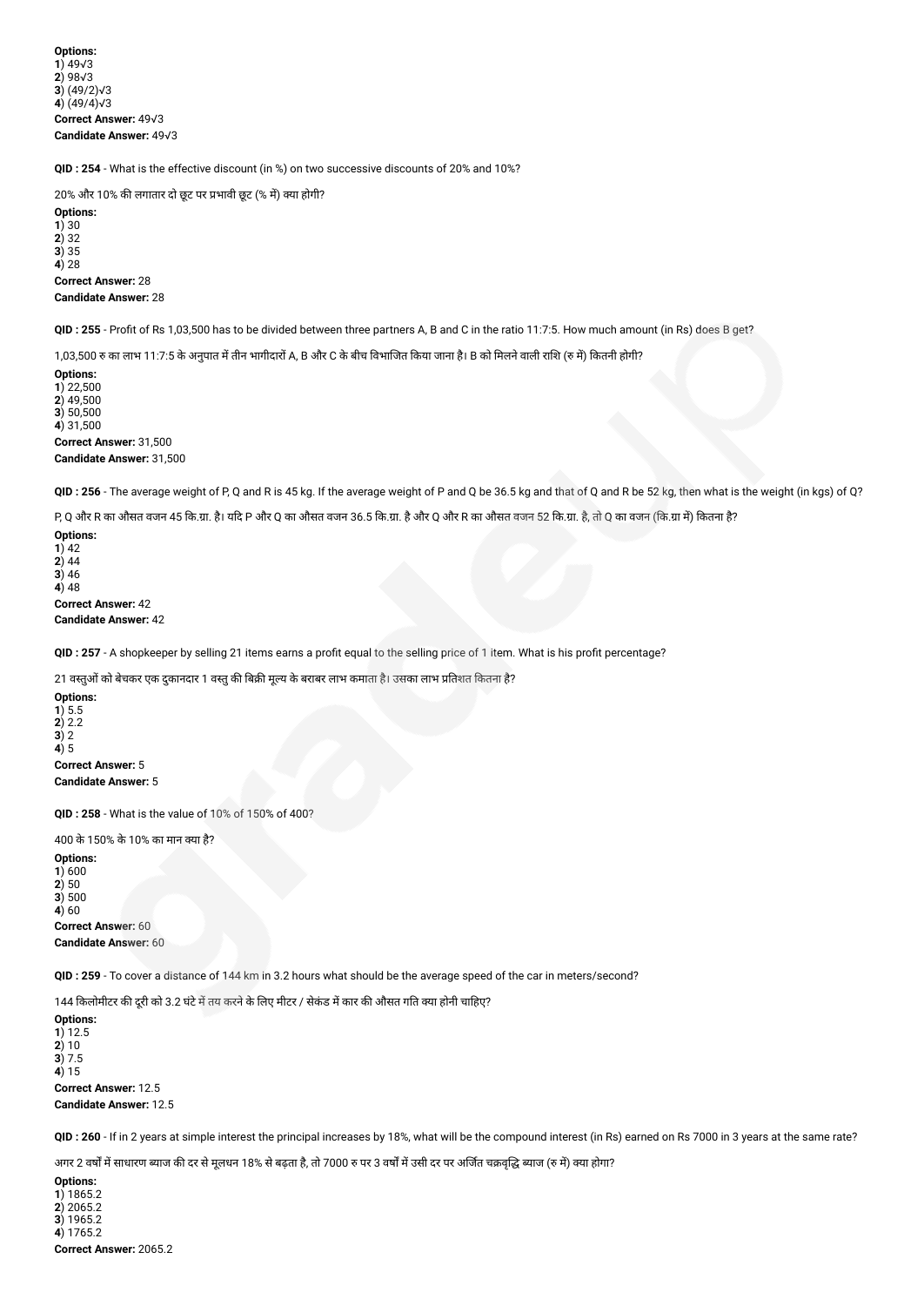**Options: 1**) 49√3 **2**) 98√3 **3**) (49/2)√3 **4**) (49/4)√3 **Correct Answer:** 49√3 **Candidate Answer:** 49√3

**QID : 254** - What is the effective discount (in %) on two successive discounts of 20% and 10%?

20% और 10% की लगातार दो छूट पर प्रभावी छूट (% में) क्या होगी? **Options: 1**) 30 **2**) 32 **3**) 35 **4**) 28 **Correct Answer:** 28 **Candidate Answer:** 28

**QID : 255** - Profit of Rs 1,03,500 has to be divided between three partners A, B and C in the ratio 11:7:5. How much amount (in Rs) does B get?

1,03,500 रु का लाभ 11:7:5 के अनुपात में तीन भागीदारों A, B और C के बीच विभाजित किया जाना है। B को मिलने वाली राशि (रु में) कितनी होगी?

**Options: 1**) 22,500 **2**) 49,500 **3**) 50,500 **4**) 31,500 **Correct Answer:** 31,500 **Candidate Answer:** 31,500

**QID : 256** - The average weight of P, Q and R is 45 kg. If the average weight of P and Q be 36.5 kg and that of Q and R be 52 kg, then what is the weight (in kgs) of Q?

P, Q और R का औसत वजन 45 क.ा. है। यद P और Q का औसत वजन 36.5 क.ा. हैऔर Q और R का औसत वजन 52 क.ा. है, तो Q का वजन (क.ा म) कतना है?

**Options: 1**) 42 **2**) 44 **3**) 46 **4**) 48 **Correct Answer:** 42 **Candidate Answer:** 42

**QID : 257** - A shopkeeper by selling 21 items earns a profit equal to the selling price of 1 item. What is his profit percentage?

21 वस्तुओं को बेचकर एक दुकानदार 1 वस्तु की बिक्री मूल्य के बराबर लाभ कमाता है। उसका लाभ प्रतिशत कितना है?

**Options: 1**) 5.5 **2**) 2.2 **3**) 2 **4**) 5 **Correct Answer:** 5 **Candidate Answer:** 5

**QID : 258** - What is the value of 10% of 150% of 400?

400 के 150% के 10% का मान या है?

**Options: 1**) 600 **2**) 50 **3**) 500 **4**) 60 **Correct Answer:** 60 **Candidate Answer:** 60

**QID : 259** - To cover a distance of 144 km in 3.2 hours what should be the average speed of the car in meters/second?

144 किलोमीटर की दूरी को 3.2 घंटे में तय करने के लिए मीटर / सेकंड में कार की औसत गति क्या होनी चाहिए?

**Options: 1**) 12.5 **2**) 10 **3**) 7.5 **4**) 15 **Correct Answer:** 12.5 **Candidate Answer:** 12.5

**QID : 260** - If in 2 years at simple interest the principal increases by 18%, what will be the compound interest (in Rs) earned on Rs 7000 in 3 years at the same rate?

अगर 2 वर्षों में साधारण ब्याज की दर से मूलधन 18% से बढ़ता है, तो 7000 रु पर 3 वर्षों में उसी दर पर अर्जित चक्रवृद्धि ब्याज (रु में) क्या होगा?

**Options: 1**) 1865.2 **2**) 2065.2 **3**) 1965.2 **4**) 1765.2 **Correct Answer:** 2065.2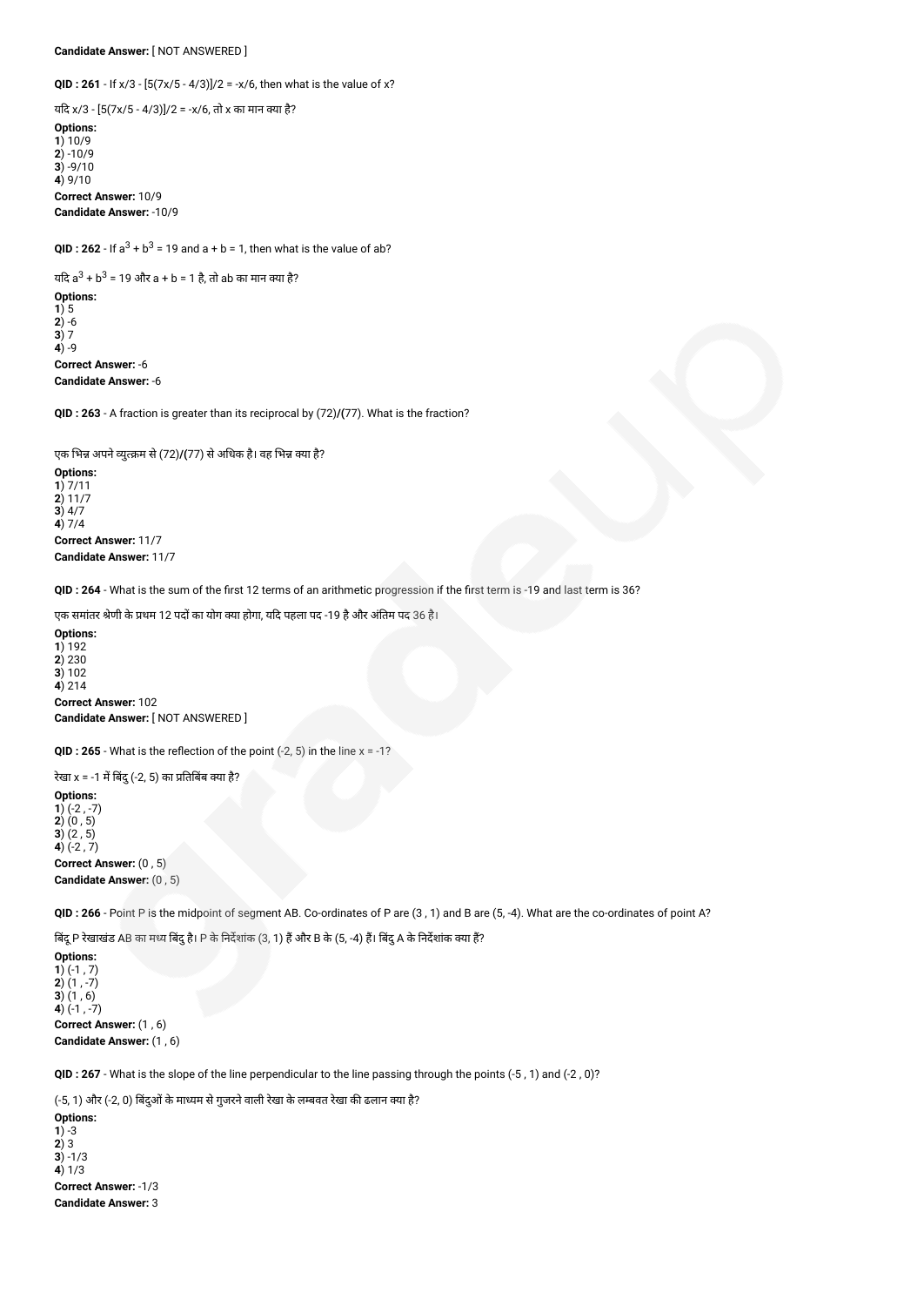**Candidate Answer:** [ NOT ANSWERED ]

**QID : 261** - If x/3 - [5(7x/5 - 4/3)]/2 = -x/6, then what is the value of x?

यदि x/3 -  $[5(7x/5 - 4/3)]/2 = -x/6$ , तो x का मान क्या है? **Options: 1**) 10/9 **2**) -10/9  $\overline{3}$ ) -9/10 **4**) 9/10 **Correct Answer:** 10/9 **Candidate Answer:** -10/9

**QID** : 262 - If  $a^3 + b^3 = 19$  and  $a + b = 1$ , then what is the value of ab?

यदि a<sup>3</sup> + b<sup>3</sup> = 19 और a + b = 1 है, तो ab का मान क्या है? **Options: 1**) 5 **2**) -6 **3**) 7 **4**) -9 **Correct Answer:** -6 **Candidate Answer:** -6

**QID : 263** - A fraction is greater than its reciprocal by (72)**/(**77). What is the fraction?

एक भिन्न अपने व्युत्क्रम से (72)**/(**77) से अधिक है। वह भिन्न क्या है?

**Options: 1**) 7/11 **2**) 11/7 **3**) 4/7 **4**) 7/4 **Correct Answer:** 11/7 **Candidate Answer:** 11/7

**QID : 264** - What is the sum of the first 12 terms of an arithmetic progression if the first term is -19 and last term is 36?

एक समांतर श्रेणी के प्रथम 12 पदों का योग क्या होगा, यदि पहला पद -19 है और अंतिम पद 36 है।

**Options: 1**) 192 **2**) 230 **3**) 102 **4**) 214 **Correct Answer:** 102 **Candidate Answer:** [ NOT ANSWERED ]

**QID : 265** - What is the reflection of the point  $(-2, 5)$  in the line  $x = -1$ ?

रेखा x = -1 में बिंदु (-2, 5) का प्रतिबिंब क्या है?

**Options: 1**) (-2 , -7) **2**) (0 , 5) **3**) (2 , 5) **4**) (-2 , 7) **Correct Answer:** (0 , 5)

**Candidate Answer:** (0 , 5)

**QID : 266** - Point P is the midpoint of segment AB. Co-ordinates of P are (3 , 1) and B are (5, -4). What are the co-ordinates of point A?

बिंदू P रेखाखंड AB का मध्य बिंदु है। P के निर्देशांक (3, 1) हैं और B के (5, -4) हैं। बिंदु A के निर्देशांक क्या हैं?

**Options: 1**) (-1 , 7) **2**) (1 , -7) **3**) (1 , 6) **4**) (-1 , -7) **Correct Answer:** (1 , 6) **Candidate Answer:** (1 , 6)

**QID : 267** - What is the slope of the line perpendicular to the line passing through the points (-5 , 1) and (-2 , 0)?

(-5, 1) और (-2, 0) बिंदुओं के माध्यम से गुजरने वाली रेखा के लम्बवत रेखा की ढलान क्या है?

**Options: 1**) -3 **2**) 3 **3**) -1/3 **4**) 1/3 **Correct Answer:** -1/3 **Candidate Answer:** 3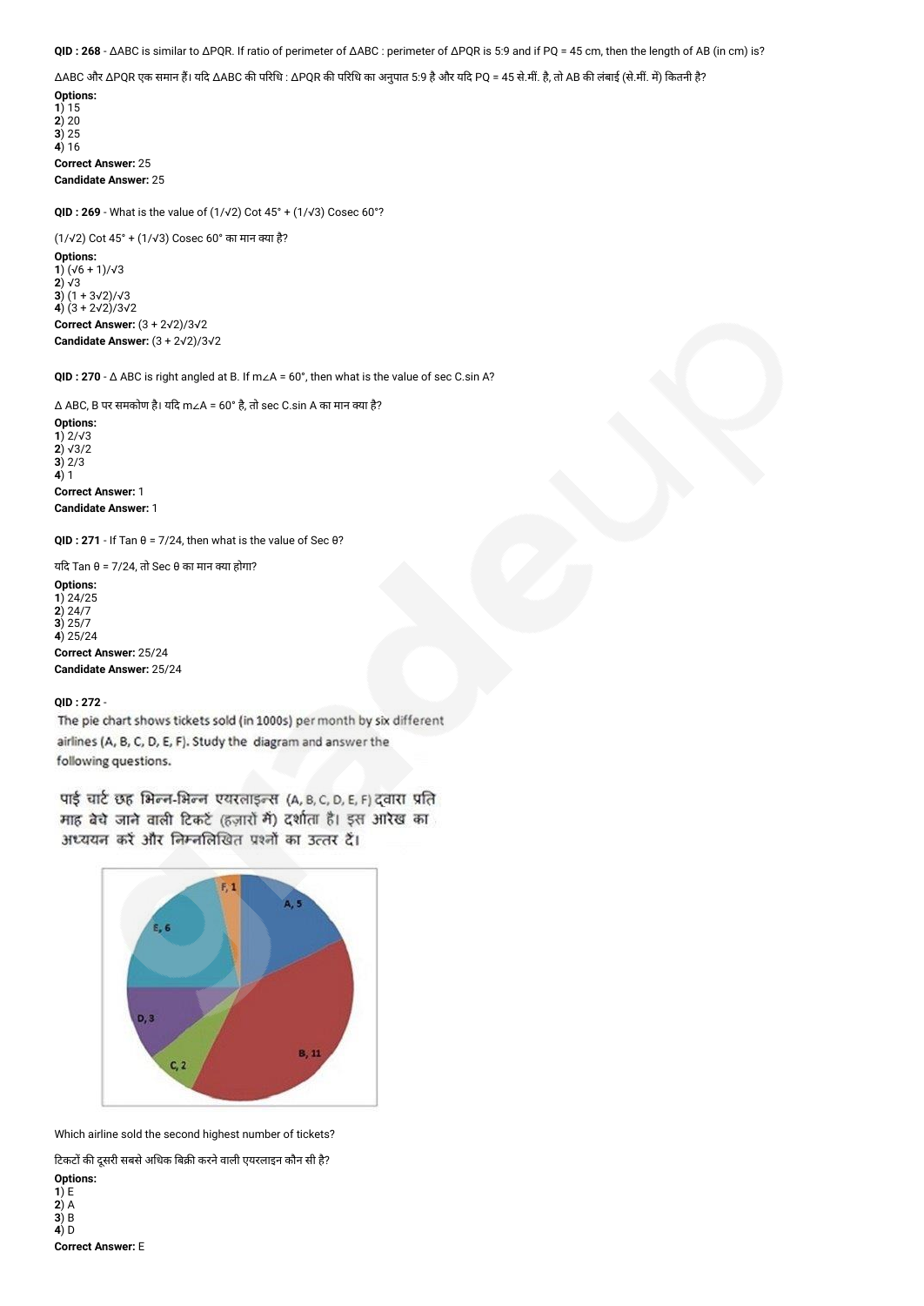**QID : 268** - ΔABC is similar to ΔPQR. If ratio of perimeter of ΔABC : perimeter of ΔPQR is 5:9 and if PQ = 45 cm, then the length of AB (in cm) is?

 $\Delta$ ABC और ΔPQR एक समान हैं। यदि ΔABC की परिधि : ΔPQR की परिधि का अनुपात 5:9 है और यदि PQ = 45 से.मीं. है, तो AB की लंबाई (से.मीं. में) कितनी है? **Options:**

**1**) 15 **2**) 20 **3**) 25 **4**) 16 **Correct Answer:** 25 **Candidate Answer:** 25

**QID : 269** - What is the value of (1/√2) Cot 45° + (1/√3) Cosec 60°?

(1/√2) Cot 45° + (1/√3) Cosec 60° का मान या है?

**Options: 1**) (√6 + 1)/√3 **2**) √3 **3**)  $(1 + 3√2)/√3$ **4**) (3 + 2√2)/3√2 **Correct Answer:** (3 + 2√2)/3√2 **Candidate Answer:** (3 + 2√2)/3√2

**QID : 270** - Δ ABC is right angled at B. If m∠A = 60°, then what is the value of sec C.sin A?

 $\triangle$  ABC, В पर समकोण है। यदि m∠A = 60° है, तो sec C.sin A का मान क्या है?

**Options: 1**) 2/√3 **2**) √3/2 **3**) 2/3 **4**) 1 **Correct Answer:** 1 **Candidate Answer:** 1

**QID : 271** - If Tan θ = 7/24, then what is the value of Sec θ?

यदि Tan θ = 7/24, तो Sec θ का मान क्या होगा?

**Options: 1**) 24/25 **2**) 24/7 **3**) 25/7 **4**) 25/24 **Correct Answer:** 25/24

**Candidate Answer:** 25/24

## **QID : 272** -

The pie chart shows tickets sold (in 1000s) per month by six different airlines (A, B, C, D, E, F). Study the diagram and answer the following questions.

पाई चार्ट छह भिल्न-भिल्न एयरलाइन्स (A, B, C, D, E, F) द्वारा प्रति माह बेचे जाने वाली टिकटें (हजारों में) दर्शाता है। इस आरेख का अध्ययन करें और निम्नलिखित प्रश्नों का उत्तर दें।



Which airline sold the second highest number of tickets?

टिकटों की दूसरी सबसे अधिक बिक्री करने वाली एयरलाइन कौन सी है? **Options:**

**1**) E **2**) A **3**) B **4**) D **Correct Answer:** E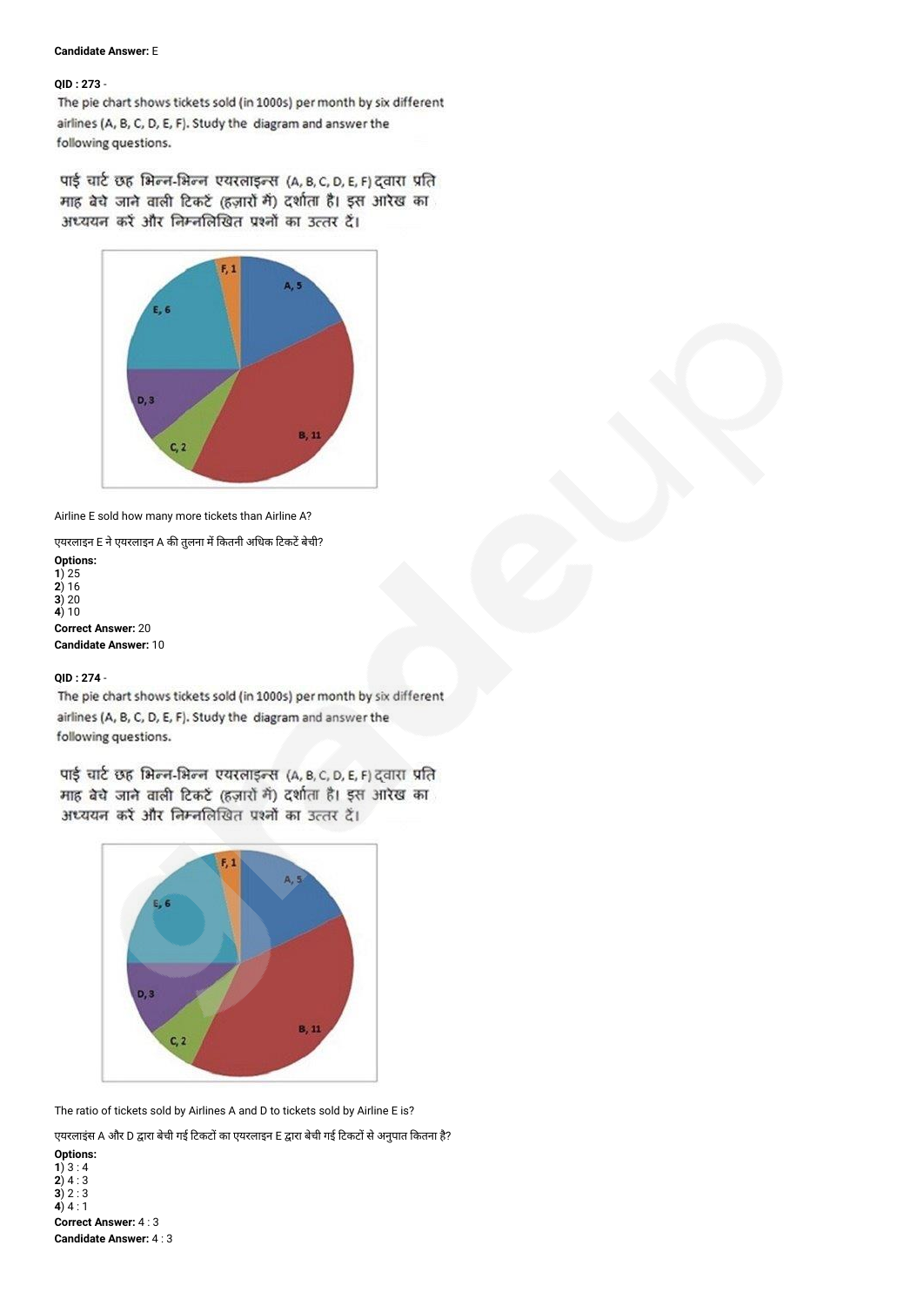## **Candidate Answer:** E

## **QID : 273** -

The pie chart shows tickets sold (in 1000s) per month by six different airlines (A, B, C, D, E, F). Study the diagram and answer the following questions.

पाई चार्ट छह भिल्न-भिल्न एयरलाइन्स (A, B, C, D, E, F) द्वारा प्रति माह बेचे जाने वाली टिकटें (हज़ारों में) दर्शाता है। इस आरेख का अध्ययन करें और निम्नलिखित प्रश्नों का उत्तर दें।



Airline E sold how many more tickets than Airline A?

एयरलाइन E ने एयरलाइन A की तुलना में कितनी अधिक टिकटें बेची?

```
Options:
1) 25
2) 16
3) 20
4) 10
Correct Answer: 20
Candidate Answer: 10
```
# **QID : 274** -

The pie chart shows tickets sold (in 1000s) per month by six different airlines (A, B, C, D, E, F). Study the diagram and answer the following questions.

पाई चार्ट छह भिल्न-भिल्न एयरलाइन्स (A, B, C, D, E, F) दवारा प्रति माह बेचे जाने वाली टिकर्ट (हज़ारों में) दर्शाता है। इस आरेख का अध्ययन करें और निम्नलिखित प्रश्नों का उत्तर दें।



The ratio of tickets sold by Airlines A and D to tickets sold by Airline E is?

एयरलाइंस A और D द्वारा बेची गई टिकटों का एयरलाइन E द्वारा बेची गई टिकटों से अनुपात कितना है?

**Options: 1**)  $3:4$ **2**) 4 : 3 **3**) 2 : 3 **4**)  $4:1$ **Correct Answer:** 4 : 3 **Candidate Answer:** 4 : 3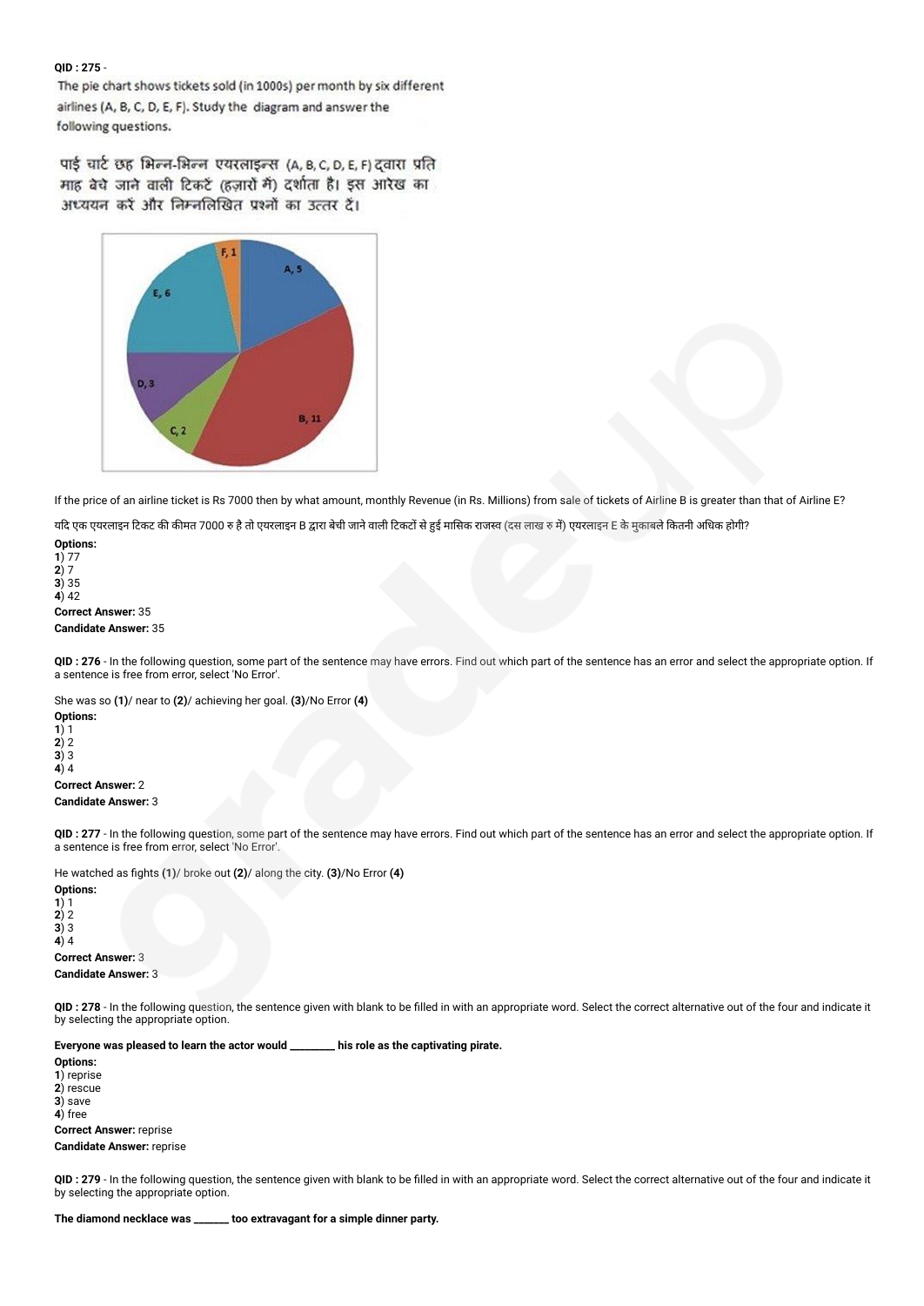## **QID : 275** -

The pie chart shows tickets sold (in 1000s) per month by six different airlines (A, B, C, D, E, F). Study the diagram and answer the following questions.

पाई चार्ट छह भिल्न-भिल्न एयरलाइन्स (A, B, C, D, E, F) दवारा प्रति माह बेचे जाने वाली टिकटें (हजारों में) दर्शाता है। इस आरेख का अध्ययन करें और निम्नलिखित प्रश्नों का उत्तर दें।



If the price of an airline ticket is Rs 7000 then by what amount, monthly Revenue (in Rs. Millions) from sale of tickets of Airline B is greater than that of Airline E?

यदि एक एयरलाइन टिकट की कीमत 7000 रु है तो एयरलाइन B द्वारा बेची जाने वाली टिकटों से हुई मासिक राजस्व (दस लाख रु में) एयरलाइन E के मुकाबले कितनी अधिक होगी?

**Options: 1**) 77 **2**) 7 **3**) 35 **4**) 42 **Correct Answer:** 35 **Candidate Answer:** 35

**QID : 276** - In the following question, some part of the sentence may have errors. Find out which part of the sentence has an error and select the appropriate option. If a sentence is free from error, select 'No Error'.

She was so **(1)**/ near to **(2)**/ achieving her goal. **(3)**/No Error **(4) Options: 1**) 1

**2**) 2 **3**) 3 **4**) 4 **Correct Answer:** 2 **Candidate Answer:** 3

**QID : 277** - In the following question, some part of the sentence may have errors. Find out which part of the sentence has an error and select the appropriate option. If a sentence is free from error, select 'No Error'.

He watched as fights **(1)**/ broke out **(2)**/ along the city. **(3)**/No Error **(4)**

**Options: 1**) 1  $2)$  2 **3**) 3 **4**) 4 **Correct Answer:** 3 **Candidate Answer:** 3

**QID : 278** - In the following question, the sentence given with blank to be filled in with an appropriate word. Select the correct alternative out of the four and indicate it by selecting the appropriate option.

**Everyone was pleased to learn the actor would \_\_\_\_\_\_\_\_\_ his role as the captivating pirate.**

**Options: 1**) reprise **2**) rescue **3**) save **4**) free

**Correct Answer:** reprise **Candidate Answer:** reprise

**QID : 279** - In the following question, the sentence given with blank to be filled in with an appropriate word. Select the correct alternative out of the four and indicate it by selecting the appropriate option.

**The diamond necklace was \_\_\_\_\_\_\_ too extravagant for a simple dinner party.**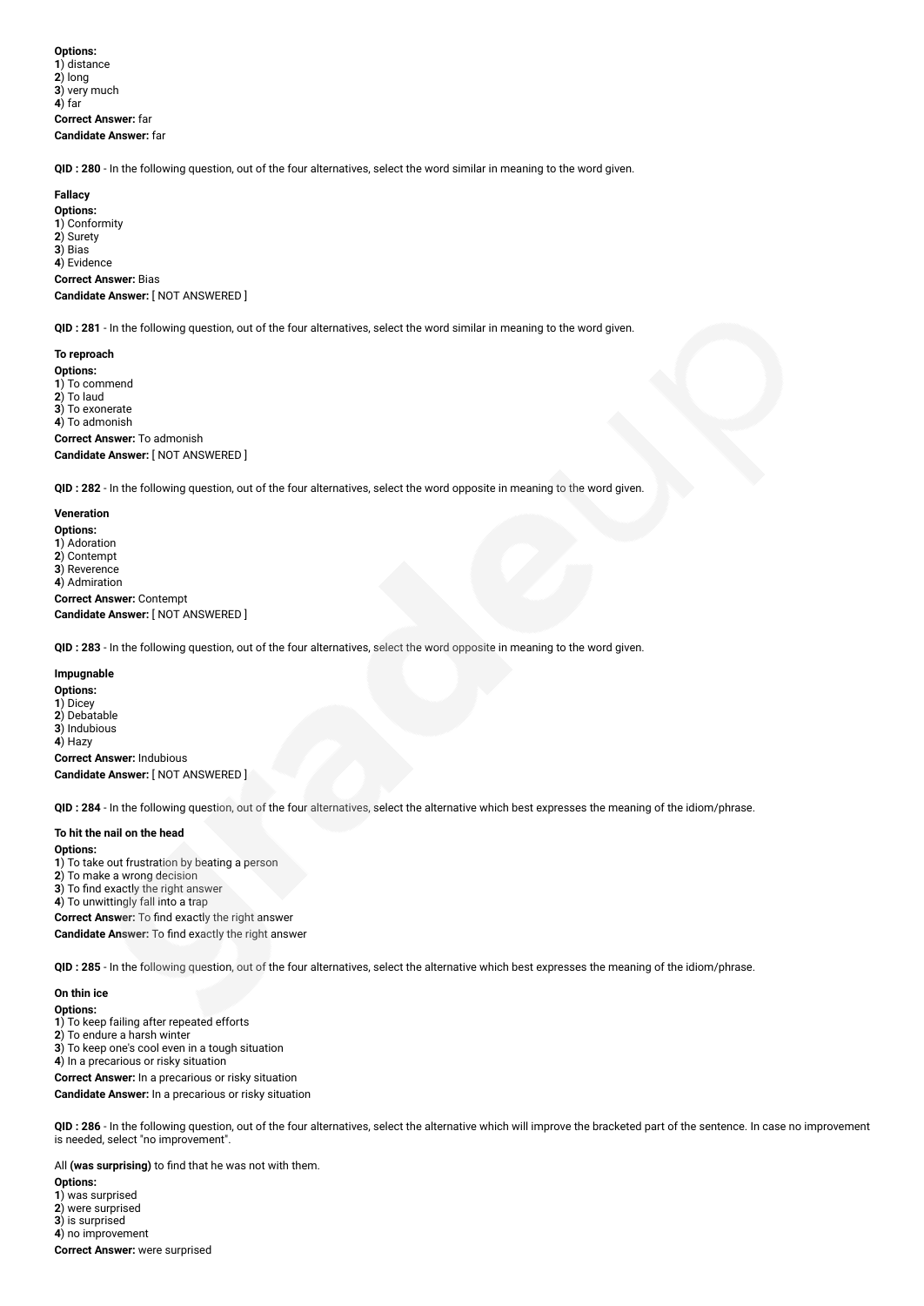**Options: 1**) distance **2**) long **3**) very much **4**) far **Correct Answer:** far **Candidate Answer:** far

**QID : 280** - In the following question, out of the four alternatives, select the word similar in meaning to the word given.

# **Fallacy**

**Options: 1**) Conformity **2**) Surety **3**) Bias **4**) Evidence **Correct Answer:** Bias **Candidate Answer:** [ NOT ANSWERED ]

**QID : 281** - In the following question, out of the four alternatives, select the word similar in meaning to the word given.

#### **To reproach**

**Options: 1**) To commend **2**) To laud **3**) To exonerate **4**) To admonish **Correct Answer:** To admonish

**Candidate Answer:** [ NOT ANSWERED ]

**QID : 282** - In the following question, out of the four alternatives, select the word opposite in meaning to the word given.

**Veneration Options: 1**) Adoration **2**) Contempt **3**) Reverence **4**) Admiration **Correct Answer:** Contempt **Candidate Answer:** [ NOT ANSWERED ]

**QID : 283** - In the following question, out of the four alternatives, select the word opposite in meaning to the word given.

#### **Impugnable**

**Options: 1**) Dicey **2**) Debatable **3**) Indubious **4**) Hazy **Correct Answer:** Indubious **Candidate Answer:** [ NOT ANSWERED ]

**QID : 284** - In the following question, out of the four alternatives, select the alternative which best expresses the meaning of the idiom/phrase.

#### **To hit the nail on the head**

**Options:**

) To take out frustration by beating a person ) To make a wrong decision ) To find exactly the right answer ) To unwittingly fall into a trap **Correct Answer:** To find exactly the right answer **Candidate Answer:** To find exactly the right answer

**QID : 285** - In the following question, out of the four alternatives, select the alternative which best expresses the meaning of the idiom/phrase.

**On thin ice Options: 1**) To keep failing after repeated efforts **2**) To endure a harsh winter **3**) To keep one's cool even in a tough situation **4**) In a precarious or risky situation **Correct Answer:** In a precarious or risky situation

**Candidate Answer:** In a precarious or risky situation

**QID : 286** - In the following question, out of the four alternatives, select the alternative which will improve the bracketed part of the sentence. In case no improvement is needed, select "no improvement".

All **(was surprising)** to find that he was not with them. **Options:**

) was surprised ) were surprised ) is surprised ) no improvement **Correct Answer:** were surprised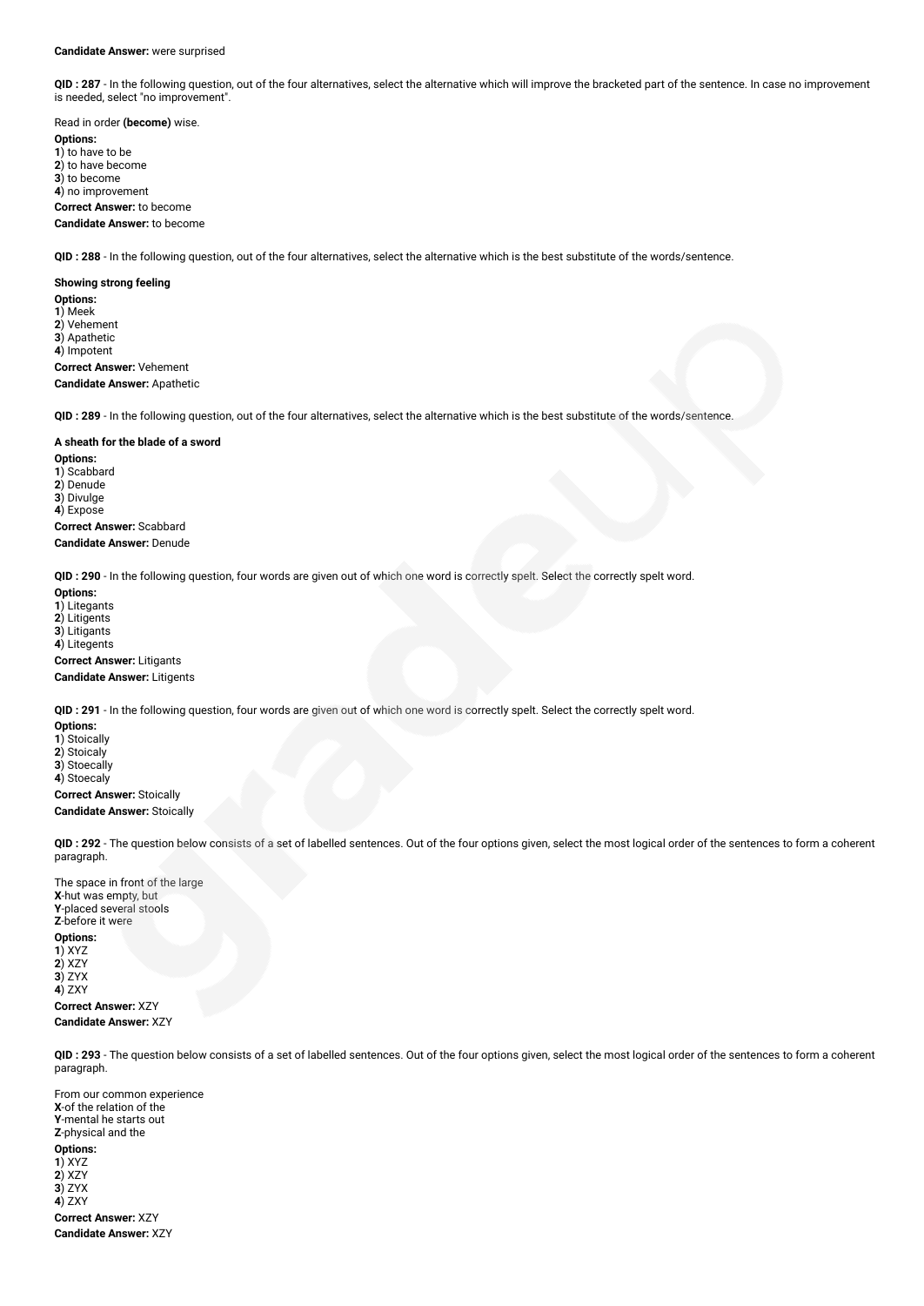#### **Candidate Answer:** were surprised

**QID : 287** - In the following question, out of the four alternatives, select the alternative which will improve the bracketed part of the sentence. In case no improvement is needed, select "no improvement".

Read in order **(become)** wise. **Options: 1**) to have to be **2**) to have become **3**) to become **4**) no improvement **Correct Answer:** to become **Candidate Answer:** to become

**QID : 288** - In the following question, out of the four alternatives, select the alternative which is the best substitute of the words/sentence.

**Showing strong feeling Options: 1**) Meek **2**) Vehement **3**) Apathetic **4**) Impotent **Correct Answer:** Vehement **Candidate Answer:** Apathetic

**QID : 289** - In the following question, out of the four alternatives, select the alternative which is the best substitute of the words/sentence.

#### **A sheath for the blade of a sword**

**Options: 1**) Scabbard **2**) Denude **3**) Divulge **4**) Expose **Correct Answer:** Scabbard **Candidate Answer:** Denude

**QID : 290** - In the following question, four words are given out of which one word is correctly spelt. Select the correctly spelt word.

**Options: 1**) Litegants **2**) Litigents **3**) Litigants **4**) Litegents **Correct Answer:** Litigants **Candidate Answer:** Litigents

**QID : 291** - In the following question, four words are given out of which one word is correctly spelt. Select the correctly spelt word.

**Options: 1**) Stoically **2**) Stoicaly **3**) Stoecally **4**) Stoecaly **Correct Answer:** Stoically **Candidate Answer:** Stoically

**QID : 292** - The question below consists of a set of labelled sentences. Out of the four options given, select the most logical order of the sentences to form a coherent paragraph.

The space in front of the large **X**-hut was empty, but **Y**-placed several stools **Z**-before it were **Options: 1**) XYZ **2**) XZY **3**) ZYX **4**) ZXY **Correct Answer:** XZY **Candidate Answer:** XZY

**QID : 293** - The question below consists of a set of labelled sentences. Out of the four options given, select the most logical order of the sentences to form a coherent paragraph.

From our common experience **X**-of the relation of the **Y**-mental he starts out **Z**-physical and the **Options: 1**) XYZ **2**) XZY **3**) ZYX **4**) ZXY **Correct Answer:** XZY **Candidate Answer:** XZY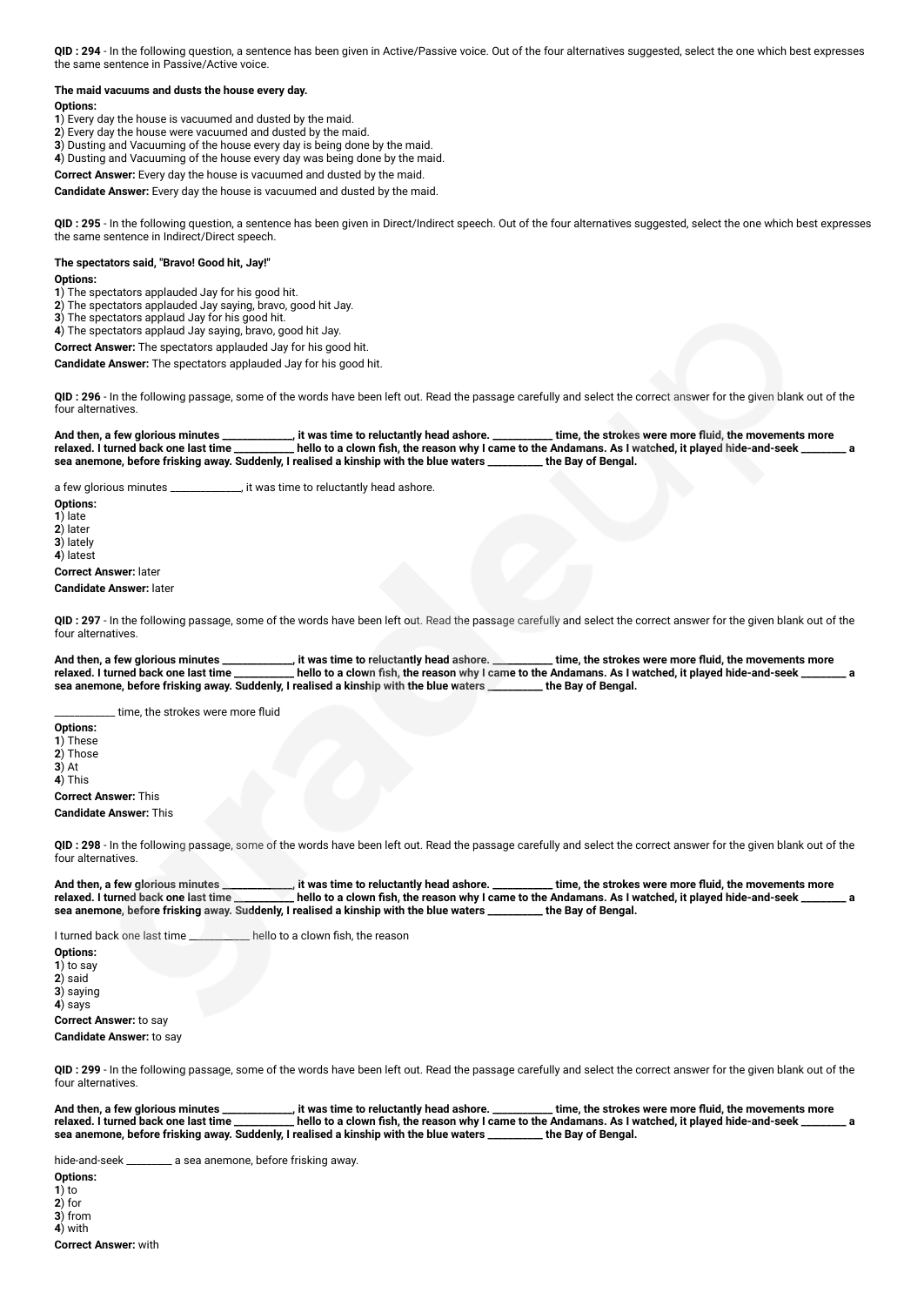**QID : 294** - In the following question, a sentence has been given in Active/Passive voice. Out of the four alternatives suggested, select the one which best expresses the same sentence in Passive/Active voice.

#### **The maid vacuums and dusts the house every day.**

#### **Options:**

- **1**) Every day the house is vacuumed and dusted by the maid.
- **2**) Every day the house were vacuumed and dusted by the maid.
- **3**) Dusting and Vacuuming of the house every day is being done by the maid.
- **4**) Dusting and Vacuuming of the house every day was being done by the maid. **Correct Answer:** Every day the house is vacuumed and dusted by the maid.

**Candidate Answer:** Every day the house is vacuumed and dusted by the maid.

**QID : 295** - In the following question, a sentence has been given in Direct/Indirect speech. Out of the four alternatives suggested, select the one which best expresses the same sentence in Indirect/Direct speech.

## **The spectators said, "Bravo! Good hit, Jay!"**

#### **Options:**

- **1**) The spectators applauded Jay for his good hit.
- **2**) The spectators applauded Jay saying, bravo, good hit Jay.
- **3**) The spectators applaud Jay for his good hit. **4**) The spectators applaud Jay saying, bravo, good hit Jay.
- 

**Correct Answer:** The spectators applauded Jay for his good hit.

**Candidate Answer:** The spectators applauded Jay for his good hit.

**QID : 296** - In the following passage, some of the words have been left out. Read the passage carefully and select the correct answer for the given blank out of the four alternatives.

And then, a few glorious minutes **\_\_\_\_\_\_\_\_\_\_**, it was time to reluctantly head ashore. \_\_\_\_\_\_\_\_\_\_\_time, the strokes were more fluid, the movements more relaxed. I turned back one last time \_\_\_\_\_\_\_\_\_\_\_\_ hello to a clown fis <sub>.</sub><br>I hello to a clown fish, the reason why I came to the Andamans. As I watched, it played hide-and-seek realised a<br>realised a kinship with the blue waters \_\_\_\_\_\_\_\_\_\_ the Bay of Bengal. sea anemone, before frisking away. Suddenly, I realised a kinship with the blue waters

a few glorious minutes \_\_\_\_\_\_\_\_\_\_\_\_\_\_, it was time to reluctantly head ashore.

**Options: 1**) late **2**) later **3**) lately **4**) latest **Correct Answer:** later **Candidate Answer:** later

**QID : 297** - In the following passage, some of the words have been left out. Read the passage carefully and select the correct answer for the given blank out of the four alternatives.

**And then, a few glorious minutes \_\_\_\_\_\_\_\_\_\_\_\_\_\_, it was time to reluctantly head ashore. \_\_\_\_\_\_\_\_\_\_\_\_ time, the strokes were more fluid, the movements more** relaxed. I turned back one last time \_\_\_\_\_\_\_\_\_\_\_ hello to a clown fish, the reason why I came to the Andamans. As I watched, it played hide-and-seek **sea anemone, before frisking away. Suddenly, I realised a kinship with the blue waters \_\_\_\_\_\_\_\_\_\_\_ the Bay of Bengal.**

time, the strokes were more fluid

**Options: 1**) These **2**) Those  $\overline{3}$ ) At **4**) This **Correct Answer:** This

#### **Candidate Answer:** This

**QID : 298** - In the following passage, some of the words have been left out. Read the passage carefully and select the correct answer for the given blank out of the four alternatives.

And then, a few glorious minutes **\_\_\_\_\_\_\_\_\_**, it was time to reluctantly head ashore. \_\_\_\_\_\_\_\_\_\_ time, the strokes were more fluid, the movements more relaxed. I turned back one last time \_\_\_\_\_\_\_\_\_ hello to a clown fish, t rello to a clown fish, the reason why I came to the Andamans. As I watched, it played hide-and-seek \_\_\_\_\_\_\_\_\_ a<br>realised a kinship with the blue waters \_\_\_\_\_\_ the Bay of Bengal. sea anemone, before frisking away. Suddenly, I realised a kinship with the blue waters \_

I turned back one last time **Lack hello to a clown fish, the reason** 

**Options: 1**) to say **2**) said **3**) saying **4**) says **Correct Answer:** to say **Candidate Answer:** to say

**QID : 299** - In the following passage, some of the words have been left out. Read the passage carefully and select the correct answer for the given blank out of the four alternatives.

**And then, a few glorious minutes \_\_\_\_\_\_\_\_\_\_\_\_\_\_, it was time to reluctantly head ashore. \_\_\_\_\_\_\_\_\_\_\_\_ time, the strokes were more fluid, the movements more relaxed. I turned back one last time \_\_\_\_\_\_\_\_\_\_\_\_ hello to a clown fish, the reason why I came to the Andamans. As I watched, it played hide-and-seek \_\_\_\_\_\_\_\_\_ a** sea anemone, before frisking away. Suddenly, I realised a kinship with the blue waters

hide-and-seek \_\_\_\_\_\_\_\_\_ a sea anemone, before frisking away.

**Options: 1**) to **2**) for **3**) from **4**) with **Correct Answer:** with